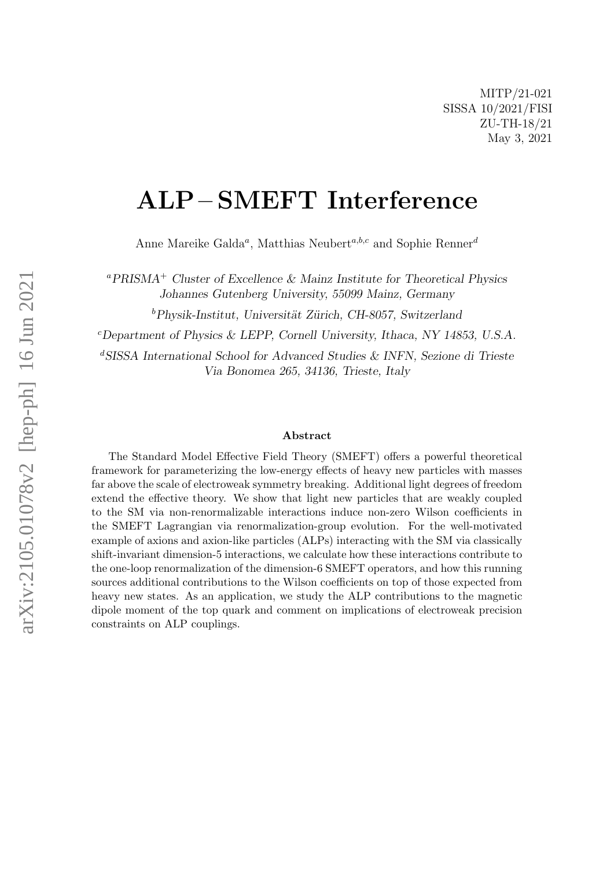# ALP – SMEFT Interference

Anne Mareike Galda<sup>a</sup>, Matthias Neubert<sup>a,b,c</sup> and Sophie Renner<sup>d</sup>

 ${}^a$ PRISMA<sup>+</sup> Cluster of Excellence & Mainz Institute for Theoretical Physics Johannes Gutenberg University, 55099 Mainz, Germany

 $b$ Physik-Institut, Universität Zürich, CH-8057, Switzerland

 $c$ Department of Physics & LEPP, Cornell University, Ithaca, NY 14853, U.S.A.

<sup>d</sup>SISSA International School for Advanced Studies & INFN, Sezione di Trieste Via Bonomea 265, 34136, Trieste, Italy

#### Abstract

The Standard Model Effective Field Theory (SMEFT) offers a powerful theoretical framework for parameterizing the low-energy effects of heavy new particles with masses far above the scale of electroweak symmetry breaking. Additional light degrees of freedom extend the effective theory. We show that light new particles that are weakly coupled to the SM via non-renormalizable interactions induce non-zero Wilson coefficients in the SMEFT Lagrangian via renormalization-group evolution. For the well-motivated example of axions and axion-like particles (ALPs) interacting with the SM via classically shift-invariant dimension-5 interactions, we calculate how these interactions contribute to the one-loop renormalization of the dimension-6 SMEFT operators, and how this running sources additional contributions to the Wilson coefficients on top of those expected from heavy new states. As an application, we study the ALP contributions to the magnetic dipole moment of the top quark and comment on implications of electroweak precision constraints on ALP couplings.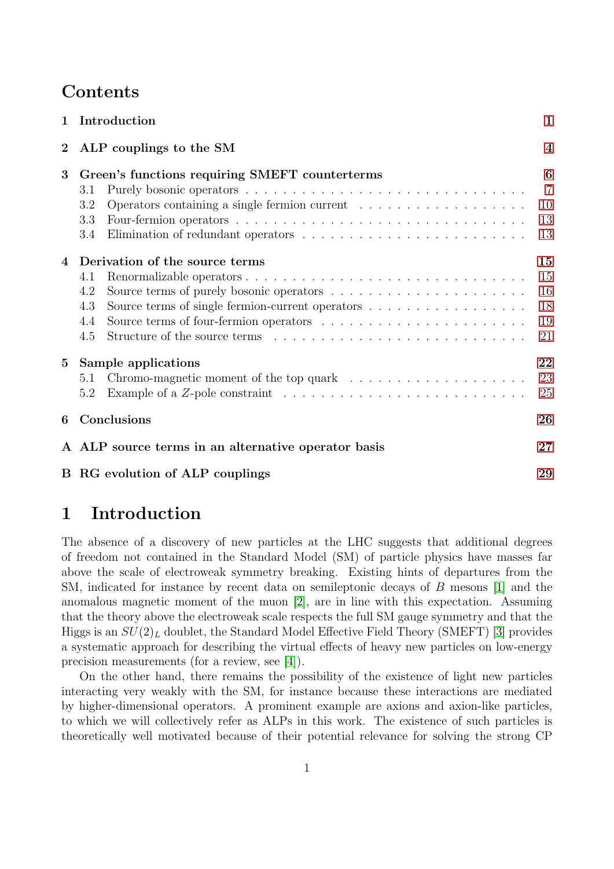## Contents

| $\mathbf 1$    | Introduction                                                                                                                                                                                                              |                                       |  |  |  |  |
|----------------|---------------------------------------------------------------------------------------------------------------------------------------------------------------------------------------------------------------------------|---------------------------------------|--|--|--|--|
| $\bf{2}$       | ALP couplings to the SM                                                                                                                                                                                                   | $\overline{\mathbf{4}}$               |  |  |  |  |
| 3              | Green's functions requiring SMEFT counterterms<br>3.1<br>3.2<br>3.3<br>3.4                                                                                                                                                | 6<br>$\overline{7}$<br>10<br>13<br>13 |  |  |  |  |
| $\overline{4}$ | Derivation of the source terms<br>4.1<br>4.2<br>Source terms of single fermion-current operators<br>4.3<br>Source terms of four-fermion operators $\ldots \ldots \ldots \ldots \ldots \ldots \ldots \ldots$<br>4.4<br>4.5 | 15<br>15<br>16<br>18<br>19<br>21      |  |  |  |  |
| $5^{\circ}$    | Sample applications<br>5.1<br>Example of a $Z$ -pole constraint $\ldots \ldots \ldots \ldots \ldots \ldots \ldots \ldots \ldots$<br>5.2                                                                                   | 22<br>23<br>25                        |  |  |  |  |
| 6              | Conclusions                                                                                                                                                                                                               |                                       |  |  |  |  |
|                | A ALP source terms in an alternative operator basis                                                                                                                                                                       |                                       |  |  |  |  |
|                | <b>B</b> RG evolution of ALP couplings                                                                                                                                                                                    |                                       |  |  |  |  |

# <span id="page-1-0"></span>1 Introduction

The absence of a discovery of new particles at the LHC suggests that additional degrees of freedom not contained in the Standard Model (SM) of particle physics have masses far above the scale of electroweak symmetry breaking. Existing hints of departures from the SM, indicated for instance by recent data on semileptonic decays of B mesons [\[1\]](#page-31-0) and the anomalous magnetic moment of the muon [\[2\]](#page-31-1), are in line with this expectation. Assuming that the theory above the electroweak scale respects the full SM gauge symmetry and that the Higgs is an  $SU(2)_L$  doublet, the Standard Model Effective Field Theory (SMEFT) [\[3\]](#page-31-2) provides a systematic approach for describing the virtual effects of heavy new particles on low-energy precision measurements (for a review, see [\[4\]](#page-31-3)).

On the other hand, there remains the possibility of the existence of light new particles interacting very weakly with the SM, for instance because these interactions are mediated by higher-dimensional operators. A prominent example are axions and axion-like particles, to which we will collectively refer as ALPs in this work. The existence of such particles is theoretically well motivated because of their potential relevance for solving the strong CP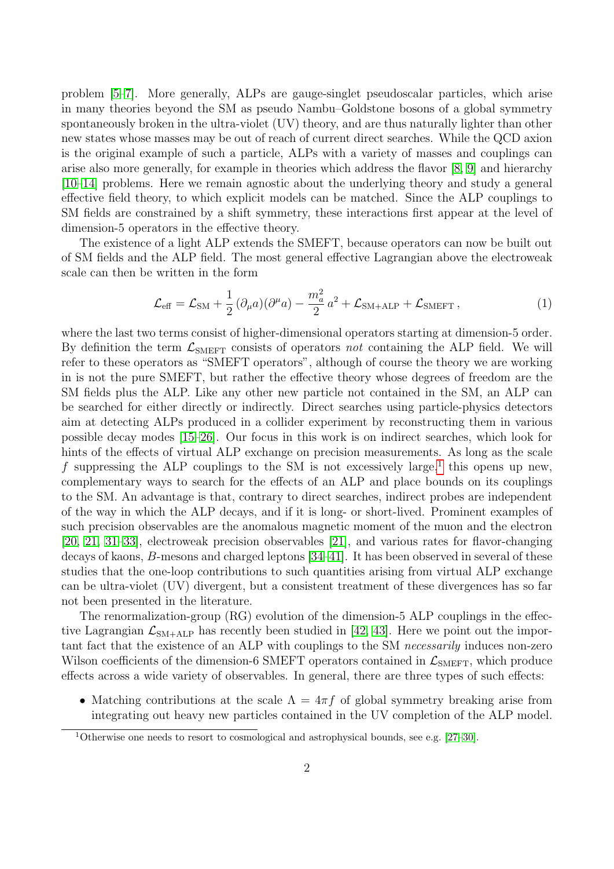problem [\[5–](#page-31-4)[7\]](#page-31-5). More generally, ALPs are gauge-singlet pseudoscalar particles, which arise in many theories beyond the SM as pseudo Nambu–Goldstone bosons of a global symmetry spontaneously broken in the ultra-violet (UV) theory, and are thus naturally lighter than other new states whose masses may be out of reach of current direct searches. While the QCD axion is the original example of such a particle, ALPs with a variety of masses and couplings can arise also more generally, for example in theories which address the flavor [\[8,](#page-31-6) [9\]](#page-31-7) and hierarchy [\[10](#page-31-8)[–14\]](#page-32-0) problems. Here we remain agnostic about the underlying theory and study a general effective field theory, to which explicit models can be matched. Since the ALP couplings to SM fields are constrained by a shift symmetry, these interactions first appear at the level of dimension-5 operators in the effective theory.

The existence of a light ALP extends the SMEFT, because operators can now be built out of SM fields and the ALP field. The most general effective Lagrangian above the electroweak scale can then be written in the form

<span id="page-2-1"></span>
$$
\mathcal{L}_{\text{eff}} = \mathcal{L}_{\text{SM}} + \frac{1}{2} \left( \partial_{\mu} a \right) \left( \partial^{\mu} a \right) - \frac{m_a^2}{2} a^2 + \mathcal{L}_{\text{SM+ALP}} + \mathcal{L}_{\text{SMEFT}} \,, \tag{1}
$$

where the last two terms consist of higher-dimensional operators starting at dimension-5 order. By definition the term  $\mathcal{L}_{\text{SMEFT}}$  consists of operators not containing the ALP field. We will refer to these operators as "SMEFT operators", although of course the theory we are working in is not the pure SMEFT, but rather the effective theory whose degrees of freedom are the SM fields plus the ALP. Like any other new particle not contained in the SM, an ALP can be searched for either directly or indirectly. Direct searches using particle-physics detectors aim at detecting ALPs produced in a collider experiment by reconstructing them in various possible decay modes [\[15–](#page-32-1)[26\]](#page-32-2). Our focus in this work is on indirect searches, which look for hints of the effects of virtual ALP exchange on precision measurements. As long as the scale f suppressing the ALP couplings to the SM is not excessively large,<sup>[1](#page-2-0)</sup> this opens up new, complementary ways to search for the effects of an ALP and place bounds on its couplings to the SM. An advantage is that, contrary to direct searches, indirect probes are independent of the way in which the ALP decays, and if it is long- or short-lived. Prominent examples of such precision observables are the anomalous magnetic moment of the muon and the electron [\[20,](#page-32-3) [21,](#page-32-4) [31–](#page-33-0)[33\]](#page-33-1), electroweak precision observables [\[21\]](#page-32-4), and various rates for flavor-changing decays of kaons, B-mesons and charged leptons [\[34](#page-33-2)[–41\]](#page-33-3). It has been observed in several of these studies that the one-loop contributions to such quantities arising from virtual ALP exchange can be ultra-violet (UV) divergent, but a consistent treatment of these divergences has so far not been presented in the literature.

The renormalization-group (RG) evolution of the dimension-5 ALP couplings in the effective Lagrangian  $\mathcal{L}_{\text{SM+ALP}}$  has recently been studied in [\[42,](#page-33-4) [43\]](#page-33-5). Here we point out the important fact that the existence of an ALP with couplings to the SM necessarily induces non-zero Wilson coefficients of the dimension-6 SMEFT operators contained in  $\mathcal{L}_{\text{SMEFT}}$ , which produce effects across a wide variety of observables. In general, there are three types of such effects:

• Matching contributions at the scale  $\Lambda = 4\pi f$  of global symmetry breaking arise from integrating out heavy new particles contained in the UV completion of the ALP model.

<span id="page-2-0"></span><sup>1</sup>Otherwise one needs to resort to cosmological and astrophysical bounds, see e.g. [\[27–](#page-32-5)[30\]](#page-32-6).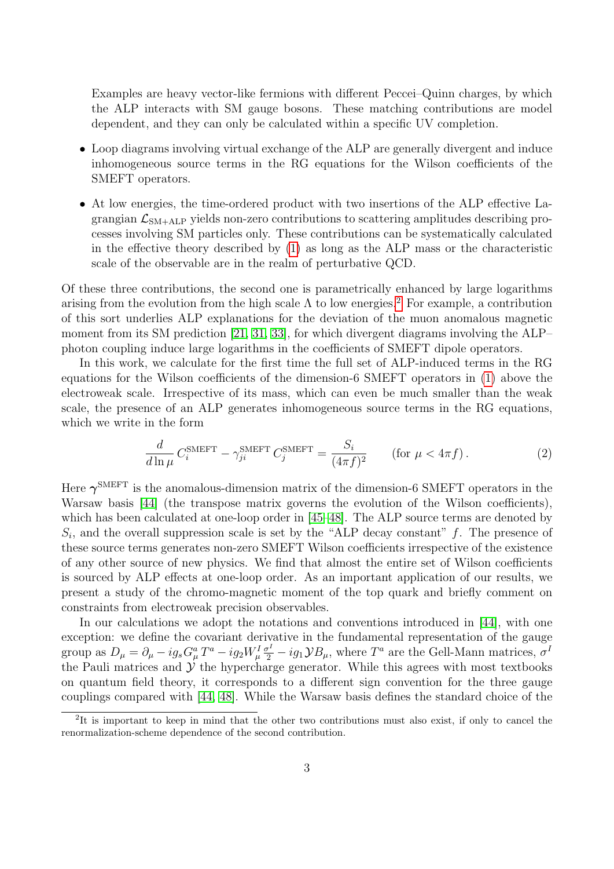Examples are heavy vector-like fermions with different Peccei–Quinn charges, by which the ALP interacts with SM gauge bosons. These matching contributions are model dependent, and they can only be calculated within a specific UV completion.

- Loop diagrams involving virtual exchange of the ALP are generally divergent and induce inhomogeneous source terms in the RG equations for the Wilson coefficients of the SMEFT operators.
- At low energies, the time-ordered product with two insertions of the ALP effective Lagrangian  $\mathcal{L}_{SM+ALP}$  yields non-zero contributions to scattering amplitudes describing processes involving SM particles only. These contributions can be systematically calculated in the effective theory described by [\(1\)](#page-2-1) as long as the ALP mass or the characteristic scale of the observable are in the realm of perturbative QCD.

Of these three contributions, the second one is parametrically enhanced by large logarithms arising from the evolution from the high scale  $\Lambda$  to low energies.<sup>[2](#page-3-0)</sup> For example, a contribution of this sort underlies ALP explanations for the deviation of the muon anomalous magnetic moment from its SM prediction [\[21,](#page-32-4) [31,](#page-33-0) [33\]](#page-33-1), for which divergent diagrams involving the ALP– photon coupling induce large logarithms in the coefficients of SMEFT dipole operators.

In this work, we calculate for the first time the full set of ALP-induced terms in the RG equations for the Wilson coefficients of the dimension-6 SMEFT operators in [\(1\)](#page-2-1) above the electroweak scale. Irrespective of its mass, which can even be much smaller than the weak scale, the presence of an ALP generates inhomogeneous source terms in the RG equations, which we write in the form

<span id="page-3-1"></span>
$$
\frac{d}{d\ln\mu}C_i^{\text{SMEFT}} - \gamma_{ji}^{\text{SMEFT}}C_j^{\text{SMEFT}} = \frac{S_i}{(4\pi f)^2} \qquad \text{(for } \mu < 4\pi f\text{)}\,. \tag{2}
$$

Here  $\gamma^{\text{SMEFT}}$  is the anomalous-dimension matrix of the dimension-6 SMEFT operators in the Warsaw basis [\[44\]](#page-33-6) (the transpose matrix governs the evolution of the Wilson coefficients), which has been calculated at one-loop order in [\[45](#page-33-7)[–48\]](#page-33-8). The ALP source terms are denoted by  $S_i$ , and the overall suppression scale is set by the "ALP decay constant" f. The presence of these source terms generates non-zero SMEFT Wilson coefficients irrespective of the existence of any other source of new physics. We find that almost the entire set of Wilson coefficients is sourced by ALP effects at one-loop order. As an important application of our results, we present a study of the chromo-magnetic moment of the top quark and briefly comment on constraints from electroweak precision observables.

In our calculations we adopt the notations and conventions introduced in [\[44\]](#page-33-6), with one exception: we define the covariant derivative in the fundamental representation of the gauge group as  $D_\mu = \partial_\mu - ig_s G_\mu^a T^a - ig_2 W_\mu^I \frac{\sigma^I}{2} - ig_1 \mathcal{Y} B_\mu$ , where  $T^a$  are the Gell-Mann matrices,  $\sigma^I$ the Pauli matrices and  $\dot{y}$  the hypercharge generator. While this agrees with most textbooks on quantum field theory, it corresponds to a different sign convention for the three gauge couplings compared with [\[44,](#page-33-6) [48\]](#page-33-8). While the Warsaw basis defines the standard choice of the

<span id="page-3-0"></span><sup>&</sup>lt;sup>2</sup>It is important to keep in mind that the other two contributions must also exist, if only to cancel the renormalization-scheme dependence of the second contribution.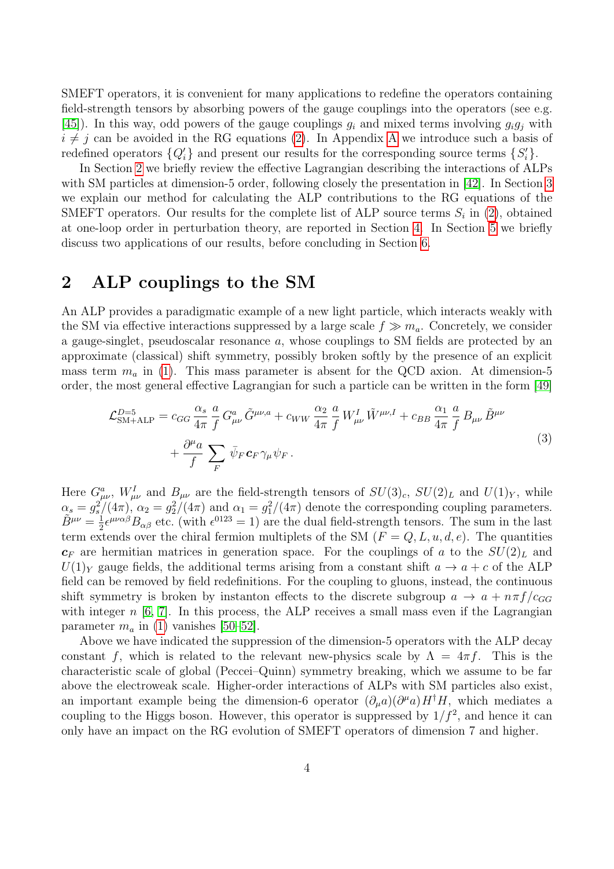SMEFT operators, it is convenient for many applications to redefine the operators containing field-strength tensors by absorbing powers of the gauge couplings into the operators (see e.g. [\[45\]](#page-33-7)). In this way, odd powers of the gauge couplings  $g_i$  and mixed terms involving  $g_i g_j$  with  $i \neq j$  can be avoided in the RG equations [\(2\)](#page-3-1). In [A](#page-27-0)ppendix A we introduce such a basis of redefined operators  $\{Q_i'\}$  and present our results for the corresponding source terms  $\{S_i'\}$ .

In Section [2](#page-4-0) we briefly review the effective Lagrangian describing the interactions of ALPs with SM particles at dimension-5 order, following closely the presentation in [\[42\]](#page-33-4). In Section [3](#page-6-0) we explain our method for calculating the ALP contributions to the RG equations of the SMEFT operators. Our results for the complete list of ALP source terms  $S_i$  in [\(2\)](#page-3-1), obtained at one-loop order in perturbation theory, are reported in Section [4.](#page-15-0) In Section [5](#page-22-0) we briefly discuss two applications of our results, before concluding in Section [6.](#page-26-0)

# <span id="page-4-0"></span>2 ALP couplings to the SM

An ALP provides a paradigmatic example of a new light particle, which interacts weakly with the SM via effective interactions suppressed by a large scale  $f \gg m_a$ . Concretely, we consider a gauge-singlet, pseudoscalar resonance a, whose couplings to SM fields are protected by an approximate (classical) shift symmetry, possibly broken softly by the presence of an explicit mass term  $m_a$  in [\(1\)](#page-2-1). This mass parameter is absent for the QCD axion. At dimension-5 order, the most general effective Lagrangian for such a particle can be written in the form [\[49\]](#page-34-0)

<span id="page-4-1"></span>
$$
\mathcal{L}_{\text{SM+ALP}}^{D=5} = c_{GG} \frac{\alpha_s}{4\pi} \frac{a}{f} G_{\mu\nu}^a \tilde{G}^{\mu\nu,a} + c_{WW} \frac{\alpha_2}{4\pi} \frac{a}{f} W_{\mu\nu}^I \tilde{W}^{\mu\nu,I} + c_{BB} \frac{\alpha_1}{4\pi} \frac{a}{f} B_{\mu\nu} \tilde{B}^{\mu\nu} + \frac{\partial^{\mu} a}{f} \sum_F \bar{\psi}_F \mathbf{c}_F \gamma_\mu \psi_F.
$$
\n(3)

Here  $G^a_{\mu\nu}$ ,  $W^I_{\mu\nu}$  and  $B_{\mu\nu}$  are the field-strength tensors of  $SU(3)_c$ ,  $SU(2)_L$  and  $U(1)_Y$ , while  $\alpha_s = g_s^2/(4\pi)$ ,  $\alpha_2 = g_2^2/(4\pi)$  and  $\alpha_1 = g_1^2/(4\pi)$  denote the corresponding coupling parameters.  $\tilde{B}^{\mu\nu}=\frac{1}{2}$  $\frac{1}{2} \epsilon^{\mu\nu\alpha\beta} B_{\alpha\beta}$  etc. (with  $\epsilon^{0123} = 1$ ) are the dual field-strength tensors. The sum in the last term extends over the chiral fermion multiplets of the SM  $(F = Q, L, u, d, e)$ . The quantities  $c_F$  are hermitian matrices in generation space. For the couplings of a to the  $SU(2)_L$  and  $U(1)_Y$  gauge fields, the additional terms arising from a constant shift  $a \to a + c$  of the ALP field can be removed by field redefinitions. For the coupling to gluons, instead, the continuous shift symmetry is broken by instanton effects to the discrete subgroup  $a \to a + n\pi f/c_{GG}$ with integer  $n \geq 6$ , 7. In this process, the ALP receives a small mass even if the Lagrangian parameter  $m_a$  in [\(1\)](#page-2-1) vanishes [\[50–](#page-34-1)[52\]](#page-34-2).

Above we have indicated the suppression of the dimension-5 operators with the ALP decay constant f, which is related to the relevant new-physics scale by  $\Lambda = 4\pi f$ . This is the characteristic scale of global (Peccei–Quinn) symmetry breaking, which we assume to be far above the electroweak scale. Higher-order interactions of ALPs with SM particles also exist, an important example being the dimension-6 operator  $(\partial_{\mu}a)(\partial^{\mu}a)H^{\dagger}H$ , which mediates a coupling to the Higgs boson. However, this operator is suppressed by  $1/f^2$ , and hence it can only have an impact on the RG evolution of SMEFT operators of dimension 7 and higher.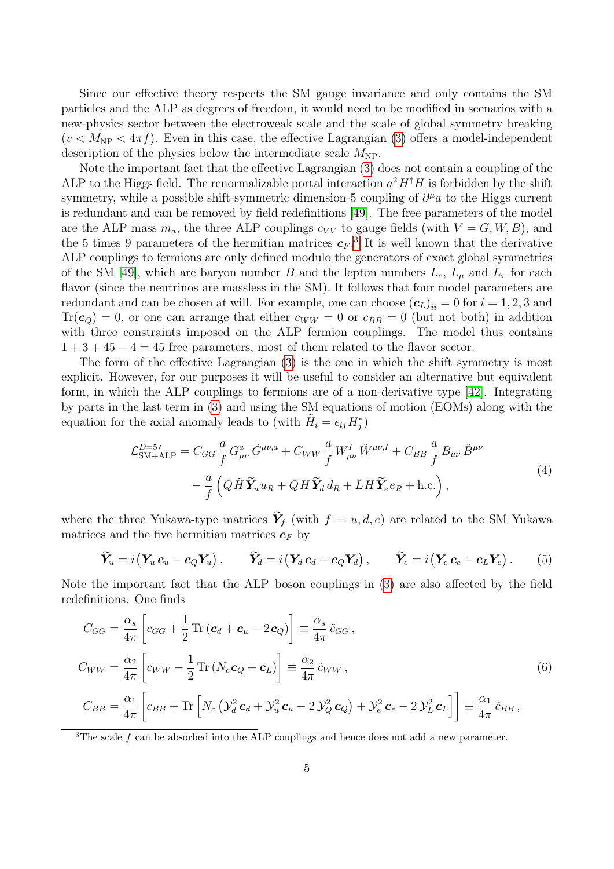Since our effective theory respects the SM gauge invariance and only contains the SM particles and the ALP as degrees of freedom, it would need to be modified in scenarios with a new-physics sector between the electroweak scale and the scale of global symmetry breaking  $(v < M<sub>NP</sub> < 4\pi f)$ . Even in this case, the effective Lagrangian [\(3\)](#page-4-1) offers a model-independent description of the physics below the intermediate scale  $M_{\text{NP}}$ .

Note the important fact that the effective Lagrangian [\(3\)](#page-4-1) does not contain a coupling of the ALP to the Higgs field. The renormalizable portal interaction  $a^2 H^{\dagger} H$  is forbidden by the shift symmetry, while a possible shift-symmetric dimension-5 coupling of  $\partial^{\mu}a$  to the Higgs current is redundant and can be removed by field redefinitions [\[49\]](#page-34-0). The free parameters of the model are the ALP mass  $m_a$ , the three ALP couplings  $c_{VV}$  to gauge fields (with  $V = G, W, B$ ), and the 5 times 9 parameters of the hermitian matrices  $c_F$ .<sup>[3](#page-5-0)</sup> It is well known that the derivative ALP couplings to fermions are only defined modulo the generators of exact global symmetries of the SM [\[49\]](#page-34-0), which are baryon number B and the lepton numbers  $L_e$ ,  $L_\mu$  and  $L_\tau$  for each flavor (since the neutrinos are massless in the SM). It follows that four model parameters are redundant and can be chosen at will. For example, one can choose  $(\boldsymbol{c}_L)_{ii} = 0$  for  $i = 1, 2, 3$  and  $Tr(\boldsymbol{c}_Q) = 0$ , or one can arrange that either  $c_{WW} = 0$  or  $c_{BB} = 0$  (but not both) in addition with three constraints imposed on the ALP–fermion couplings. The model thus contains  $1+3+45-4=45$  free parameters, most of them related to the flavor sector.

The form of the effective Lagrangian [\(3\)](#page-4-1) is the one in which the shift symmetry is most explicit. However, for our purposes it will be useful to consider an alternative but equivalent form, in which the ALP couplings to fermions are of a non-derivative type [\[42\]](#page-33-4). Integrating by parts in the last term in [\(3\)](#page-4-1) and using the SM equations of motion (EOMs) along with the equation for the axial anomaly leads to (with  $\tilde{H}_i = \epsilon_{ij} H_j^*$ )

<span id="page-5-1"></span>
$$
\mathcal{L}_{\text{SM+ALP}}^{D=5} = C_{GG} \frac{a}{f} G_{\mu\nu}^a \tilde{G}^{\mu\nu,a} + C_{WW} \frac{a}{f} W_{\mu\nu}^I \tilde{W}^{\mu\nu,I} + C_{BB} \frac{a}{f} B_{\mu\nu} \tilde{B}^{\mu\nu} - \frac{a}{f} \left( \bar{Q} \tilde{H} \tilde{Y}_u u_R + \bar{Q} H \tilde{Y}_d d_R + \bar{L} H \tilde{Y}_e e_R + \text{h.c.} \right),
$$
\n(4)

where the three Yukawa-type matrices  $\widetilde{\mathbf{Y}}_f$  (with  $f = u, d, e$ ) are related to the SM Yukawa matrices and the five hermitian matrices  $c_F$  by

<span id="page-5-2"></span>
$$
\widetilde{\boldsymbol{Y}}_u = i(\boldsymbol{Y}_u \boldsymbol{c}_u - \boldsymbol{c}_Q \boldsymbol{Y}_u), \qquad \widetilde{\boldsymbol{Y}}_d = i(\boldsymbol{Y}_d \boldsymbol{c}_d - \boldsymbol{c}_Q \boldsymbol{Y}_d), \qquad \widetilde{\boldsymbol{Y}}_e = i(\boldsymbol{Y}_e \boldsymbol{c}_e - \boldsymbol{c}_L \boldsymbol{Y}_e).
$$
 (5)

Note the important fact that the ALP–boson couplings in [\(3\)](#page-4-1) are also affected by the field redefinitions. One finds

<span id="page-5-3"></span>
$$
C_{GG} = \frac{\alpha_s}{4\pi} \left[ c_{GG} + \frac{1}{2} \text{Tr} \left( \mathbf{c}_d + \mathbf{c}_u - 2 \mathbf{c}_Q \right) \right] \equiv \frac{\alpha_s}{4\pi} \tilde{c}_{GG},
$$
  
\n
$$
C_{WW} = \frac{\alpha_2}{4\pi} \left[ c_{WW} - \frac{1}{2} \text{Tr} \left( N_c \mathbf{c}_Q + \mathbf{c}_L \right) \right] \equiv \frac{\alpha_2}{4\pi} \tilde{c}_{WW},
$$
  
\n
$$
C_{BB} = \frac{\alpha_1}{4\pi} \left[ c_{BB} + \text{Tr} \left[ N_c \left( \mathbf{v}_d^2 \mathbf{c}_d + \mathbf{v}_u^2 \mathbf{c}_u - 2 \mathbf{v}_Q^2 \mathbf{c}_Q \right) + \mathbf{v}_e^2 \mathbf{c}_e - 2 \mathbf{v}_L^2 \mathbf{c}_L \right] \right] \equiv \frac{\alpha_1}{4\pi} \tilde{c}_{BB},
$$
\n(6)

<span id="page-5-0"></span><sup>3</sup>The scale f can be absorbed into the ALP couplings and hence does not add a new parameter.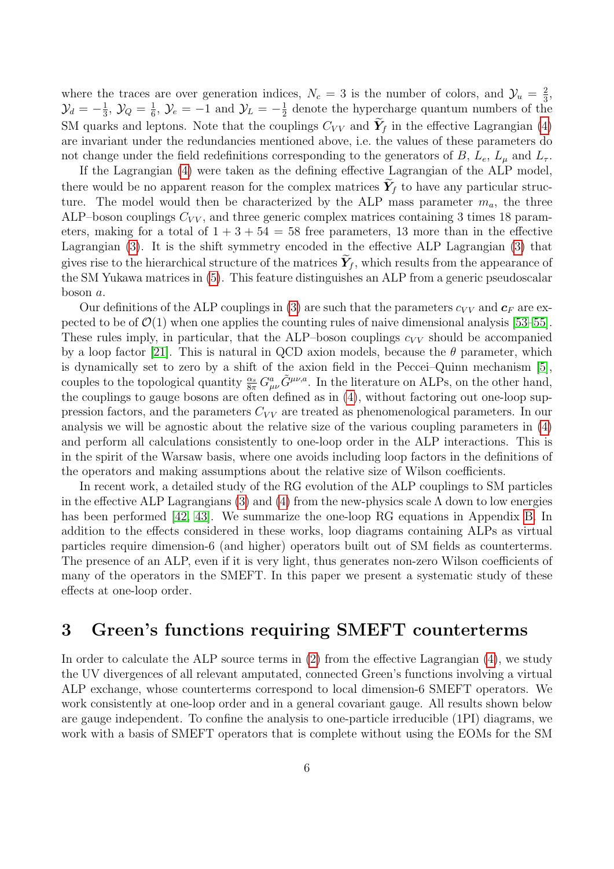where the traces are over generation indices,  $N_c = 3$  is the number of colors, and  $\mathcal{Y}_u = \frac{2}{3}$  $\frac{2}{3}$ ,  $\mathcal{Y}_d=-\frac{1}{3}$  $\frac{1}{3}$ ,  $\mathcal{Y}_Q = \frac{1}{6}$  $\frac{1}{6}$ ,  $\mathcal{Y}_e = -1$  and  $\mathcal{Y}_L = -\frac{1}{2}$  $\frac{1}{2}$  denote the hypercharge quantum numbers of the SM quarks and leptons. Note that the couplings  $C_{VV}$  and  $\tilde{\boldsymbol{Y}}_f$  in the effective Lagrangian [\(4\)](#page-5-1) are invariant under the redundancies mentioned above, i.e. the values of these parameters do not change under the field redefinitions corresponding to the generators of B,  $L_e$ ,  $L_\mu$  and  $L_\tau$ .

If the Lagrangian [\(4\)](#page-5-1) were taken as the defining effective Lagrangian of the ALP model, there would be no apparent reason for the complex matrices  $Y_f$  to have any particular structure. The model would then be characterized by the ALP mass parameter  $m_a$ , the three ALP–boson couplings  $C_{VV}$ , and three generic complex matrices containing 3 times 18 parameters, making for a total of  $1 + 3 + 54 = 58$  free parameters, 13 more than in the effective Lagrangian [\(3\)](#page-4-1). It is the shift symmetry encoded in the effective ALP Lagrangian [\(3\)](#page-4-1) that gives rise to the hierarchical structure of the matrices  $Y_f$ , which results from the appearance of the SM Yukawa matrices in [\(5\)](#page-5-2). This feature distinguishes an ALP from a generic pseudoscalar boson a.

Our definitions of the ALP couplings in [\(3\)](#page-4-1) are such that the parameters  $c_{VV}$  and  $c_F$  are expected to be of  $\mathcal{O}(1)$  when one applies the counting rules of naive dimensional analysis [\[53–](#page-34-3)[55\]](#page-34-4). These rules imply, in particular, that the ALP–boson couplings  $c_{VV}$  should be accompanied by a loop factor [\[21\]](#page-32-4). This is natural in QCD axion models, because the  $\theta$  parameter, which is dynamically set to zero by a shift of the axion field in the Peccei–Quinn mechanism [\[5\]](#page-31-4), couples to the topological quantity  $\frac{\alpha_s}{8\pi} G^a_{\mu\nu} \tilde{G}^{\mu\nu,a}$ . In the literature on ALPs, on the other hand, the couplings to gauge bosons are often defined as in [\(4\)](#page-5-1), without factoring out one-loop suppression factors, and the parameters  $C_{VV}$  are treated as phenomenological parameters. In our analysis we will be agnostic about the relative size of the various coupling parameters in [\(4\)](#page-5-1) and perform all calculations consistently to one-loop order in the ALP interactions. This is in the spirit of the Warsaw basis, where one avoids including loop factors in the definitions of the operators and making assumptions about the relative size of Wilson coefficients.

In recent work, a detailed study of the RG evolution of the ALP couplings to SM particles in the effective ALP Lagrangians [\(3\)](#page-4-1) and [\(4\)](#page-5-1) from the new-physics scale  $\Lambda$  down to low energies has been performed [\[42,](#page-33-4) [43\]](#page-33-5). We summarize the one-loop RG equations in Appendix [B.](#page-29-0) In addition to the effects considered in these works, loop diagrams containing ALPs as virtual particles require dimension-6 (and higher) operators built out of SM fields as counterterms. The presence of an ALP, even if it is very light, thus generates non-zero Wilson coefficients of many of the operators in the SMEFT. In this paper we present a systematic study of these effects at one-loop order.

### <span id="page-6-0"></span>3 Green's functions requiring SMEFT counterterms

In order to calculate the ALP source terms in  $(2)$  from the effective Lagrangian  $(4)$ , we study the UV divergences of all relevant amputated, connected Green's functions involving a virtual ALP exchange, whose counterterms correspond to local dimension-6 SMEFT operators. We work consistently at one-loop order and in a general covariant gauge. All results shown below are gauge independent. To confine the analysis to one-particle irreducible (1PI) diagrams, we work with a basis of SMEFT operators that is complete without using the EOMs for the SM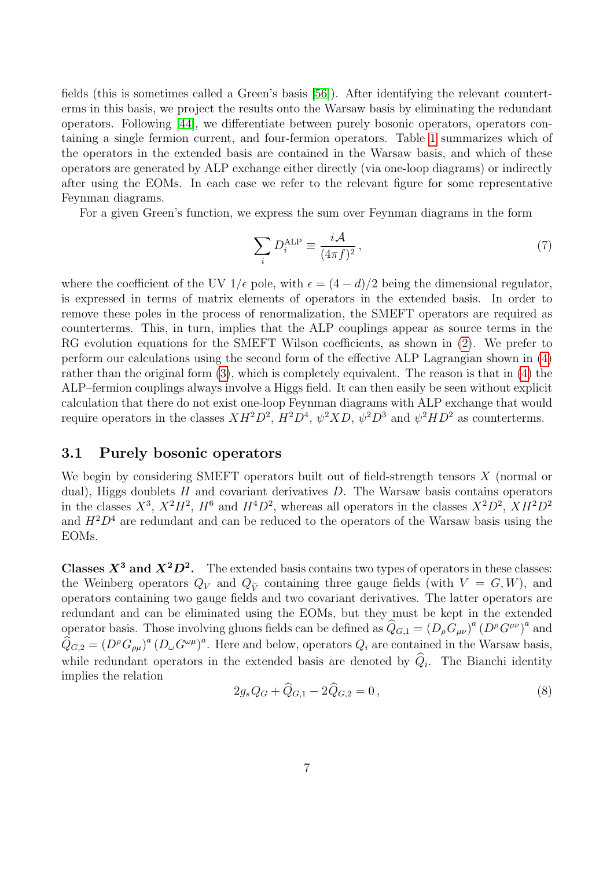fields (this is sometimes called a Green's basis [\[56\]](#page-34-5)). After identifying the relevant counterterms in this basis, we project the results onto the Warsaw basis by eliminating the redundant operators. Following [\[44\]](#page-33-6), we differentiate between purely bosonic operators, operators containing a single fermion current, and four-fermion operators. Table [1](#page-8-0) summarizes which of the operators in the extended basis are contained in the Warsaw basis, and which of these operators are generated by ALP exchange either directly (via one-loop diagrams) or indirectly after using the EOMs. In each case we refer to the relevant figure for some representative Feynman diagrams.

For a given Green's function, we express the sum over Feynman diagrams in the form

$$
\sum_{i} D_i^{\text{ALP}} \equiv \frac{i\mathcal{A}}{(4\pi f)^2},\tag{7}
$$

where the coefficient of the UV  $1/\epsilon$  pole, with  $\epsilon = (4-d)/2$  being the dimensional regulator, is expressed in terms of matrix elements of operators in the extended basis. In order to remove these poles in the process of renormalization, the SMEFT operators are required as counterterms. This, in turn, implies that the ALP couplings appear as source terms in the RG evolution equations for the SMEFT Wilson coefficients, as shown in  $(2)$ . We prefer to perform our calculations using the second form of the effective ALP Lagrangian shown in [\(4\)](#page-5-1) rather than the original form [\(3\)](#page-4-1), which is completely equivalent. The reason is that in [\(4\)](#page-5-1) the ALP–fermion couplings always involve a Higgs field. It can then easily be seen without explicit calculation that there do not exist one-loop Feynman diagrams with ALP exchange that would require operators in the classes  $XH^2D^2$ ,  $H^2D^4$ ,  $\psi^2XD$ ,  $\psi^2D^3$  and  $\psi^2HD^2$  as counterterms.

#### <span id="page-7-0"></span>3.1 Purely bosonic operators

We begin by considering SMEFT operators built out of field-strength tensors  $X$  (normal or dual), Higgs doublets  $H$  and covariant derivatives  $D$ . The Warsaw basis contains operators in the classes  $X^3$ ,  $X^2H^2$ ,  $H^6$  and  $H^4D^2$ , whereas all operators in the classes  $X^2D^2$ ,  $XH^2D^2$ and  $H^2D^4$  are redundant and can be reduced to the operators of the Warsaw basis using the EOMs.

**Classes**  $X^3$  **and**  $X^2D^2$ **.** The extended basis contains two types of operators in these classes: the Weinberg operators  $Q_V$  and  $Q_{\tilde{V}}$  containing three gauge fields (with  $V = G, W$ ), and operators containing two gauge fields and two covariant derivatives. The latter operators are redundant and can be eliminated using the EOMs, but they must be kept in the extended operator basis. Those involving gluons fields can be defined as  $\hat{Q}_{G,1} = (D_{\rho}G_{\mu\nu})^a (D^{\rho}G^{\mu\nu})^a$  and  $\widehat{Q}_{G,2} = (D^{\rho}G_{\rho\mu})^a (D_{\omega}G^{\omega\mu})^a$ . Here and below, operators  $Q_i$  are contained in the Warsaw basis, while redundant operators in the extended basis are denoted by  $Q_i$ . The Bianchi identity implies the relation

$$
2g_s Q_G + \widehat{Q}_{G,1} - 2\widehat{Q}_{G,2} = 0, \qquad (8)
$$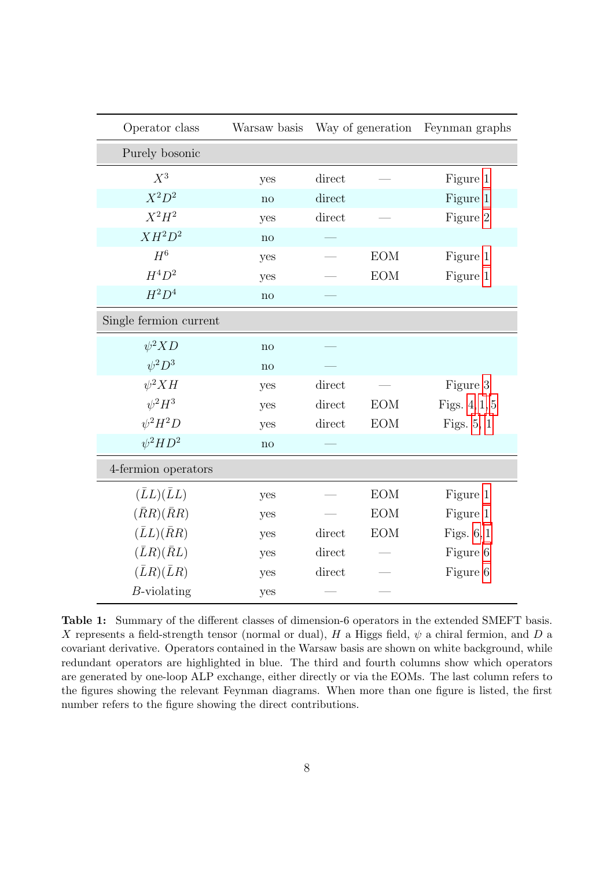<span id="page-8-0"></span>

| Operator class         | Warsaw basis   | Way of generation       |            | Feynman graphs  |  |  |  |
|------------------------|----------------|-------------------------|------------|-----------------|--|--|--|
| Purely bosonic         |                |                         |            |                 |  |  |  |
| $X^3$                  | yes            | direct                  |            | Figure 1        |  |  |  |
| $X^2D^2$               | $\mathbf{n}$ o | direct                  |            | Figure 1        |  |  |  |
| $X^2H^2$               | yes            | direct                  |            | Figure 2        |  |  |  |
| $XH^2D^2$              | no             |                         |            |                 |  |  |  |
| $H^6$                  | yes            |                         | <b>EOM</b> | Figure 1        |  |  |  |
| $H^4D^2$               | yes            |                         | <b>EOM</b> | Figure 1        |  |  |  |
| $H^2D^4$               | no             |                         |            |                 |  |  |  |
| Single fermion current |                |                         |            |                 |  |  |  |
| $\psi^2 X D$           | no             |                         |            |                 |  |  |  |
| $\psi^2 D^3$           | no             |                         |            |                 |  |  |  |
| $\psi^2 X H$           | yes            | direct                  |            | Figure 3        |  |  |  |
| $\psi^2 H^3$           | yes            | $\operatorname{direct}$ | <b>EOM</b> | Figs. $4, 1, 5$ |  |  |  |
| $\psi^2 H^2 D$         | yes            | direct                  | <b>EOM</b> | Figs. $5, 1$    |  |  |  |
| $\psi^2 H D^2$         | no             |                         |            |                 |  |  |  |
| 4-fermion operators    |                |                         |            |                 |  |  |  |
| $(\bar{L}L)(\bar{L}L)$ | yes            |                         | <b>EOM</b> | Figure 1        |  |  |  |
| $(\bar{R}R)(\bar{R}R)$ | yes            |                         | <b>EOM</b> | Figure 1        |  |  |  |
| $(\bar{L}L)(\bar{R}R)$ | yes            | direct                  | <b>EOM</b> | Figs. $6,1$     |  |  |  |
| $(\bar{L}R)(\bar{R}L)$ | yes            | direct                  |            | Figure 6        |  |  |  |
| $(\bar{L}R)(\bar{L}R)$ | yes            | direct                  |            | Figure 6        |  |  |  |
| $B$ -violating         | yes            |                         |            |                 |  |  |  |

Table 1: Summary of the different classes of dimension-6 operators in the extended SMEFT basis. X represents a field-strength tensor (normal or dual), H a Higgs field,  $\psi$  a chiral fermion, and D a covariant derivative. Operators contained in the Warsaw basis are shown on white background, while redundant operators are highlighted in blue. The third and fourth columns show which operators are generated by one-loop ALP exchange, either directly or via the EOMs. The last column refers to the figures showing the relevant Feynman diagrams. When more than one figure is listed, the first number refers to the figure showing the direct contributions.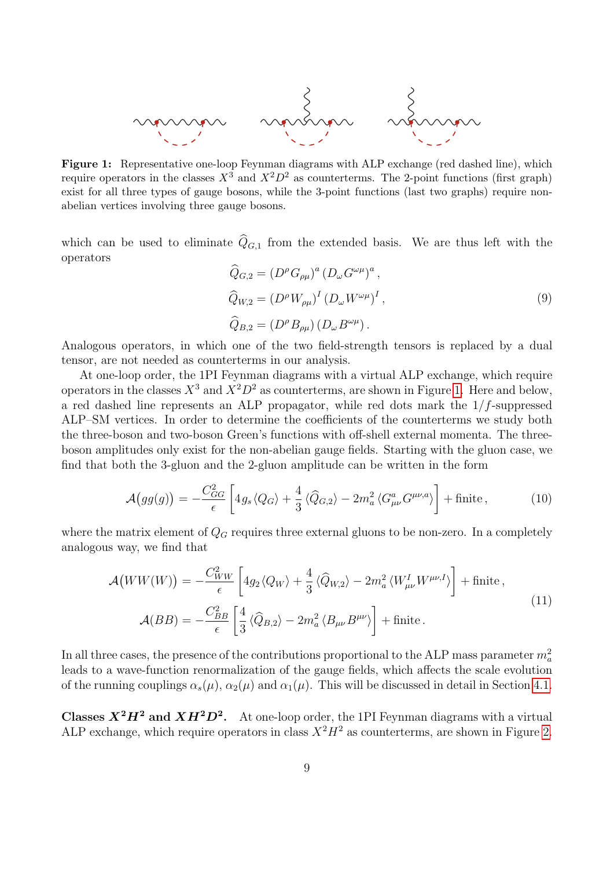<span id="page-9-0"></span>

Figure 1: Representative one-loop Feynman diagrams with ALP exchange (red dashed line), which require operators in the classes  $X^3$  and  $X^2D^2$  as counterterms. The 2-point functions (first graph) exist for all three types of gauge bosons, while the 3-point functions (last two graphs) require nonabelian vertices involving three gauge bosons.

which can be used to eliminate  $\widehat{Q}_{G,1}$  from the extended basis. We are thus left with the operators

<span id="page-9-1"></span>
$$
\widehat{Q}_{G,2} = (D^{\rho} G_{\rho\mu})^a (D_{\omega} G^{\omega\mu})^a ,
$$
  
\n
$$
\widehat{Q}_{W,2} = (D^{\rho} W_{\rho\mu})^I (D_{\omega} W^{\omega\mu})^I ,
$$
  
\n
$$
\widehat{Q}_{B,2} = (D^{\rho} B_{\rho\mu}) (D_{\omega} B^{\omega\mu}) .
$$
\n(9)

Analogous operators, in which one of the two field-strength tensors is replaced by a dual tensor, are not needed as counterterms in our analysis.

At one-loop order, the 1PI Feynman diagrams with a virtual ALP exchange, which require operators in the classes  $X^3$  and  $X^2D^2$  as counterterms, are shown in Figure [1.](#page-9-0) Here and below, a red dashed line represents an ALP propagator, while red dots mark the  $1/f$ -suppressed ALP–SM vertices. In order to determine the coefficients of the counterterms we study both the three-boson and two-boson Green's functions with off-shell external momenta. The threeboson amplitudes only exist for the non-abelian gauge fields. Starting with the gluon case, we find that both the 3-gluon and the 2-gluon amplitude can be written in the form

<span id="page-9-2"></span>
$$
\mathcal{A}\big(gg(g)\big) = -\frac{C_{GG}^2}{\epsilon} \left[4g_s\langle Q_G\rangle + \frac{4}{3}\langle\widehat{Q}_{G,2}\rangle - 2m_a^2\langle G_{\mu\nu}^a G^{\mu\nu,a}\rangle\right] + \text{finite}\,,\tag{10}
$$

where the matrix element of  $Q_G$  requires three external gluons to be non-zero. In a completely analogous way, we find that

<span id="page-9-3"></span>
$$
\mathcal{A}(WW(W)) = -\frac{C_{WW}^2}{\epsilon} \left[ 4g_2 \langle Q_W \rangle + \frac{4}{3} \langle \hat{Q}_{W,2} \rangle - 2m_a^2 \langle W_{\mu\nu}^I W^{\mu\nu,I} \rangle \right] + \text{finite} \,,
$$
\n
$$
\mathcal{A}(BB) = -\frac{C_{BB}^2}{\epsilon} \left[ \frac{4}{3} \langle \hat{Q}_{B,2} \rangle - 2m_a^2 \langle B_{\mu\nu} B^{\mu\nu} \rangle \right] + \text{finite} \,.
$$
\n(11)

In all three cases, the presence of the contributions proportional to the ALP mass parameter  $m_a^2$ leads to a wave-function renormalization of the gauge fields, which affects the scale evolution of the running couplings  $\alpha_s(\mu)$ ,  $\alpha_2(\mu)$  and  $\alpha_1(\mu)$ . This will be discussed in detail in Section [4.1.](#page-15-1)

**Classes**  $X^2H^2$  **and**  $XH^2D^2$ **.** At one-loop order, the 1PI Feynman diagrams with a virtual ALP exchange, which require operators in class  $X^2H^2$  as counterterms, are shown in Figure [2.](#page-10-1)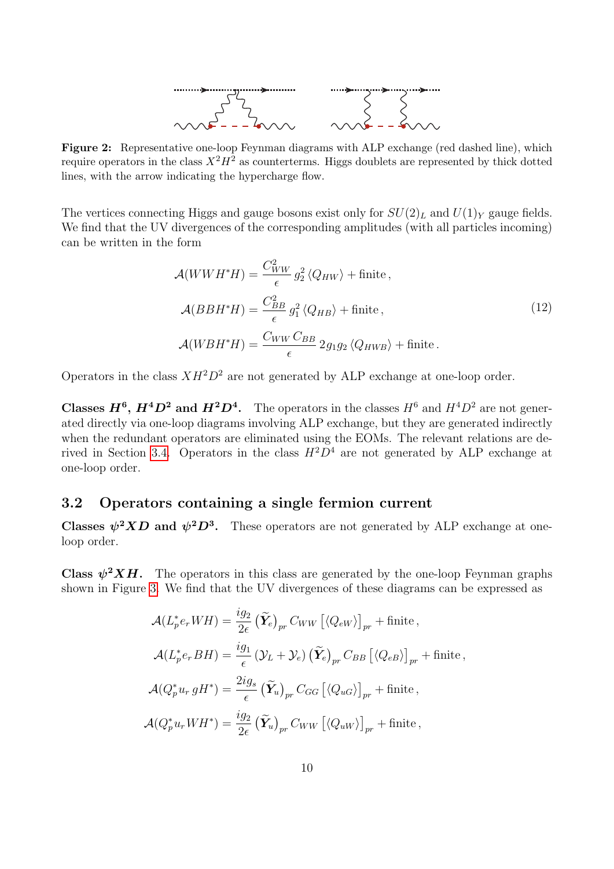

<span id="page-10-1"></span>Figure 2: Representative one-loop Feynman diagrams with ALP exchange (red dashed line), which require operators in the class  $X^2H^2$  as counterterms. Higgs doublets are represented by thick dotted lines, with the arrow indicating the hypercharge flow.

The vertices connecting Higgs and gauge bosons exist only for  $SU(2)_L$  and  $U(1)_Y$  gauge fields. We find that the UV divergences of the corresponding amplitudes (with all particles incoming) can be written in the form

<span id="page-10-2"></span>
$$
\mathcal{A}(WWH^*H) = \frac{C_{WW}^2}{\epsilon} g_2^2 \langle Q_{HW} \rangle + \text{finite} \,,
$$
\n
$$
\mathcal{A}(BBH^*H) = \frac{C_{BB}^2}{\epsilon} g_1^2 \langle Q_{HB} \rangle + \text{finite} \,,
$$
\n
$$
\mathcal{A}(WBH^*H) = \frac{C_{WW}C_{BB}}{\epsilon} 2g_1g_2 \langle Q_{HWB} \rangle + \text{finite} \,.
$$
\n(12)

Operators in the class  $XH^2D^2$  are not generated by ALP exchange at one-loop order.

**Classes**  $H^6$ **,**  $H^4D^2$  **and**  $H^2D^4$ **.** The operators in the classes  $H^6$  and  $H^4D^2$  are not generated directly via one-loop diagrams involving ALP exchange, but they are generated indirectly when the redundant operators are eliminated using the EOMs. The relevant relations are de-rived in Section [3.4.](#page-13-1) Operators in the class  $H^2D^4$  are not generated by ALP exchange at one-loop order.

### <span id="page-10-0"></span>3.2 Operators containing a single fermion current

Classes  $\psi^2 X D$  and  $\psi^2 D^3$ . These operators are not generated by ALP exchange at oneloop order.

**Class**  $\psi^2 X H$ **.** The operators in this class are generated by the one-loop Feynman graphs shown in Figure [3.](#page-11-0) We find that the UV divergences of these diagrams can be expressed as

$$
\mathcal{A}(L_p^* e_r W H) = \frac{ig_2}{2\epsilon} \left(\tilde{\mathbf{Y}}_e\right)_{pr} C_{WW} \left[ \langle Q_{eW} \rangle \right]_{pr} + \text{finite} \,,
$$
  

$$
\mathcal{A}(L_p^* e_r B H) = \frac{ig_1}{\epsilon} \left( \mathcal{Y}_L + \mathcal{Y}_e \right) \left( \tilde{\mathbf{Y}}_e \right)_{pr} C_{BB} \left[ \langle Q_{eB} \rangle \right]_{pr} + \text{finite} \,,
$$
  

$$
\mathcal{A}(Q_p^* u_r g H^*) = \frac{2ig_s}{\epsilon} \left( \tilde{\mathbf{Y}}_u \right)_{pr} C_{GG} \left[ \langle Q_{uG} \rangle \right]_{pr} + \text{finite} \,,
$$
  

$$
\mathcal{A}(Q_p^* u_r W H^*) = \frac{ig_2}{2\epsilon} \left( \tilde{\mathbf{Y}}_u \right)_{pr} C_{WW} \left[ \langle Q_{uW} \rangle \right]_{pr} + \text{finite} \,,
$$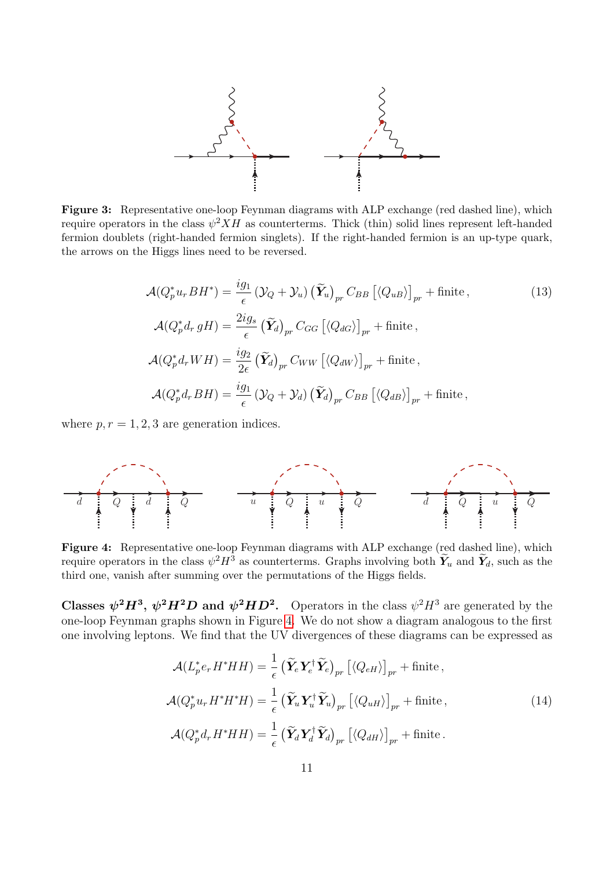<span id="page-11-0"></span>

Figure 3: Representative one-loop Feynman diagrams with ALP exchange (red dashed line), which require operators in the class  $\psi^2 X H$  as counterterms. Thick (thin) solid lines represent left-handed fermion doublets (right-handed fermion singlets). If the right-handed fermion is an up-type quark, the arrows on the Higgs lines need to be reversed.

<span id="page-11-2"></span>
$$
\mathcal{A}(Q_p^* u_r B H^*) = \frac{ig_1}{\epsilon} \left( \mathcal{Y}_Q + \mathcal{Y}_u \right) \left( \widetilde{\mathbf{Y}}_u \right)_{pr} C_{BB} \left[ \langle Q_{uB} \rangle \right]_{pr} + \text{finite} \,, \tag{13}
$$
\n
$$
\mathcal{A}(Q_p^* d_r g H) = \frac{2ig_s}{\epsilon} \left( \widetilde{\mathbf{Y}}_d \right)_{pr} C_{GG} \left[ \langle Q_{dG} \rangle \right]_{pr} + \text{finite} \,,
$$
\n
$$
\mathcal{A}(Q_p^* d_r W H) = \frac{ig_2}{2\epsilon} \left( \widetilde{\mathbf{Y}}_d \right)_{pr} C_{WW} \left[ \langle Q_{dW} \rangle \right]_{pr} + \text{finite} \,,
$$
\n
$$
\mathcal{A}(Q_p^* d_r B H) = \frac{ig_1}{\epsilon} \left( \mathcal{Y}_Q + \mathcal{Y}_d \right) \left( \widetilde{\mathbf{Y}}_d \right)_{pr} C_{BB} \left[ \langle Q_{dB} \rangle \right]_{pr} + \text{finite} \,,
$$

where  $p, r = 1, 2, 3$  are generation indices.

<span id="page-11-1"></span>

Figure 4: Representative one-loop Feynman diagrams with ALP exchange (red dashed line), which require operators in the class  $\psi^2 H^3$  as counterterms. Graphs involving both  $\widetilde{Y}_u$  and  $\widetilde{Y}_d$ , such as the third one, vanish after summing over the permutations of the Higgs fields.

Classes  $\psi^2 H^3$ ,  $\psi^2 H^2 D$  and  $\psi^2 H D^2$ . Operators in the class  $\psi^2 H^3$  are generated by the one-loop Feynman graphs shown in Figure [4.](#page-11-1) We do not show a diagram analogous to the first one involving leptons. We find that the UV divergences of these diagrams can be expressed as

<span id="page-11-3"></span>
$$
\mathcal{A}(L_p^* e_r H^* H H) = \frac{1}{\epsilon} \left( \widetilde{\mathbf{Y}}_e \mathbf{Y}_e^\dagger \widetilde{\mathbf{Y}}_e \right)_{pr} \left[ \langle Q_{eH} \rangle \right]_{pr} + \text{finite} \,,
$$
\n
$$
\mathcal{A}(Q_p^* u_r H^* H^* H) = \frac{1}{\epsilon} \left( \widetilde{\mathbf{Y}}_u \mathbf{Y}_u^\dagger \widetilde{\mathbf{Y}}_u \right)_{pr} \left[ \langle Q_{uH} \rangle \right]_{pr} + \text{finite} \,, \tag{14}
$$
\n
$$
\mathcal{A}(Q_p^* d_r H^* H H) = \frac{1}{\epsilon} \left( \widetilde{\mathbf{Y}}_d \mathbf{Y}_d^\dagger \widetilde{\mathbf{Y}}_d \right)_{pr} \left[ \langle Q_{dH} \rangle \right]_{pr} + \text{finite} \,.
$$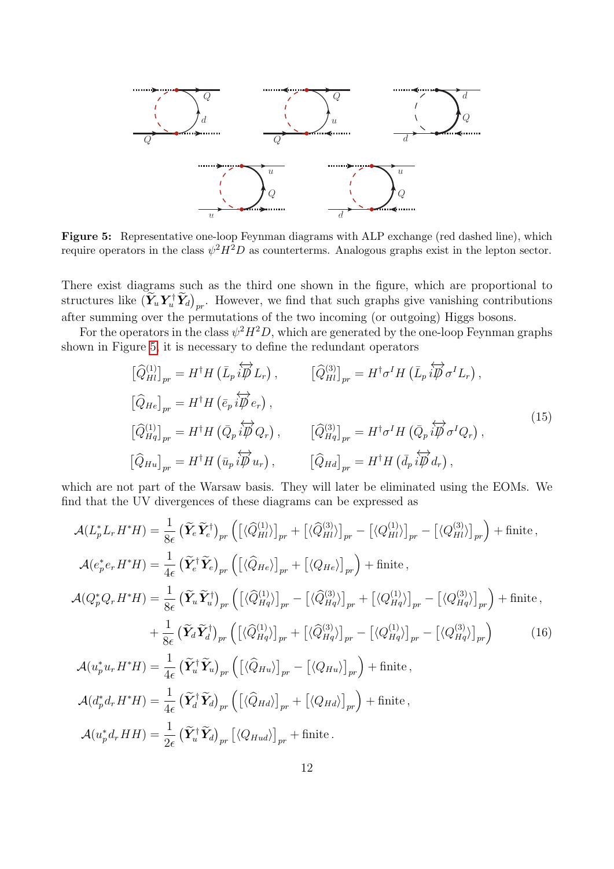<span id="page-12-0"></span>

Figure 5: Representative one-loop Feynman diagrams with ALP exchange (red dashed line), which require operators in the class  $\psi^2 H^2 D$  as counterterms. Analogous graphs exist in the lepton sector.

There exist diagrams such as the third one shown in the figure, which are proportional to structures like  $(\tilde{Y}_u Y_u^{\dagger} \tilde{Y}_d)_{pr}$ . However, we find that such graphs give vanishing contributions after summing over the permutations of the two incoming (or outgoing) Higgs bosons.

For the operators in the class  $\psi^2 H^2 D$ , which are generated by the one-loop Feynman graphs shown in Figure [5,](#page-12-0) it is necessary to define the redundant operators

<span id="page-12-1"></span>
$$
\begin{aligned}\n\left[\widehat{Q}_{Hl}^{(1)}\right]_{pr} &= H^{\dagger}H\left(\bar{L}_{p}\stackrel{\leftrightarrow}{i\beta}L_{r}\right), & \left[\widehat{Q}_{Hl}^{(3)}\right]_{pr} &= H^{\dagger}\sigma^{I}H\left(\bar{L}_{p}\stackrel{\leftrightarrow}{i\beta}\sigma^{I}L_{r}\right), \\
\left[\widehat{Q}_{He}\right]_{pr} &= H^{\dagger}H\left(\bar{e}_{p}\stackrel{\leftrightarrow}{i\beta}e_{r}\right), \\
\left[\widehat{Q}_{Hq}^{(1)}\right]_{pr} &= H^{\dagger}H\left(\bar{Q}_{p}\stackrel{\leftrightarrow}{i\beta}Q_{r}\right), & \left[\widehat{Q}_{Hq}^{(3)}\right]_{pr} &= H^{\dagger}\sigma^{I}H\left(\bar{Q}_{p}\stackrel{\leftrightarrow}{i\beta}\sigma^{I}Q_{r}\right), \\
\left[\widehat{Q}_{Hu}\right]_{pr} &= H^{\dagger}H\left(\bar{u}_{p}\stackrel{\leftrightarrow}{i\beta}u_{r}\right), & \left[\widehat{Q}_{Hd}\right]_{pr} &= H^{\dagger}H\left(\bar{d}_{p}\stackrel{\leftrightarrow}{i\beta}d_{r}\right),\n\end{aligned}
$$
\n(15)

which are not part of the Warsaw basis. They will later be eliminated using the EOMs. We find that the UV divergences of these diagrams can be expressed as

<span id="page-12-2"></span>
$$
\mathcal{A}(L_p^* L_r H^* H) = \frac{1}{8\epsilon} \left( \widetilde{\mathbf{Y}}_e \widetilde{\mathbf{Y}}_e^{\dagger} \right)_{pr} \left( \left[ \langle \widehat{Q}_{Hl}^{(1)} \rangle \right]_{pr} + \left[ \langle \widehat{Q}_{Hl}^{(3)} \rangle \right]_{pr} - \left[ \langle Q_{Hl}^{(1)} \rangle \right]_{pr} - \left[ \langle Q_{Hl}^{(3)} \rangle \right]_{pr} \right) + \text{finite} ,
$$
\n
$$
\mathcal{A}(e_p^* e_r H^* H) = \frac{1}{4\epsilon} \left( \widetilde{\mathbf{Y}}_e^{\dagger} \widetilde{\mathbf{Y}}_e \right)_{pr} \left( \left[ \langle \widehat{Q}_{He} \rangle \right]_{pr} + \left[ \langle Q_{He} \rangle \right]_{pr} \right) + \text{finite} ,
$$
\n
$$
\mathcal{A}(Q_p^* Q_r H^* H) = \frac{1}{8\epsilon} \left( \widetilde{\mathbf{Y}}_u \widetilde{\mathbf{Y}}_u^{\dagger} \right)_{pr} \left( \left[ \langle \widehat{Q}_{Hq}^{(1)} \rangle \right]_{pr} - \left[ \langle \widehat{Q}_{Hq}^{(3)} \rangle \right]_{pr} + \left[ \langle Q_{Hq}^{(1)} \rangle \right]_{pr} - \left[ \langle Q_{Hq}^{(3)} \rangle \right]_{pr} \right) + \text{finite} ,
$$
\n
$$
+ \frac{1}{8\epsilon} \left( \widetilde{\mathbf{Y}}_d \widetilde{\mathbf{Y}}_d^{\dagger} \right)_{pr} \left( \left[ \langle \widehat{Q}_{Hq}^{(1)} \rangle \right]_{pr} + \left[ \langle \widehat{Q}_{Hq}^{(3)} \rangle \right]_{pr} - \left[ \langle Q_{Hq}^{(1)} \rangle \right]_{pr} - \left[ \langle Q_{Hq}^{(3)} \rangle \right]_{pr} \right) \tag{16}
$$
\n
$$
\mathcal{A}(u_p^* u_r H^* H) = \frac{1}{4\epsilon} \left( \widetilde{\mathbf{Y}}_d^{\dagger} \widetilde{\mathbf{Y}}_d \right)_{pr} \left( \left[ \langle \widehat{Q}_{Hu} \rangle \right]_{pr} + \left[ \
$$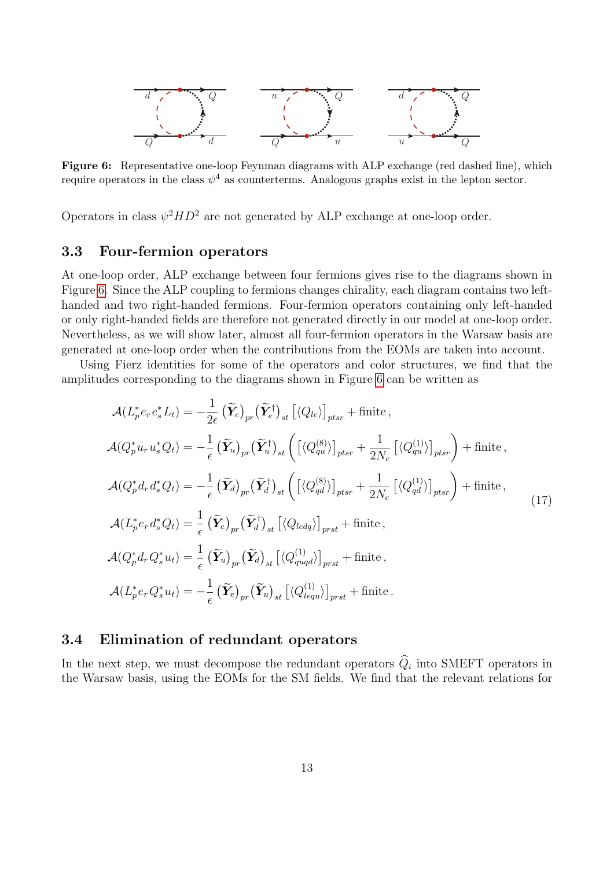<span id="page-13-2"></span>

Figure 6: Representative one-loop Feynman diagrams with ALP exchange (red dashed line), which require operators in the class  $\psi^4$  as counterterms. Analogous graphs exist in the lepton sector.

Operators in class  $\psi^2 H D^2$  are not generated by ALP exchange at one-loop order.

#### <span id="page-13-0"></span>3.3 Four-fermion operators

At one-loop order, ALP exchange between four fermions gives rise to the diagrams shown in Figure [6.](#page-13-2) Since the ALP coupling to fermions changes chirality, each diagram contains two lefthanded and two right-handed fermions. Four-fermion operators containing only left-handed or only right-handed fields are therefore not generated directly in our model at one-loop order. Nevertheless, as we will show later, almost all four-fermion operators in the Warsaw basis are generated at one-loop order when the contributions from the EOMs are taken into account.

Using Fierz identities for some of the operators and color structures, we find that the amplitudes corresponding to the diagrams shown in Figure [6](#page-13-2) can be written as

<span id="page-13-3"></span>
$$
\mathcal{A}(L_{p}^{*}e_{r}e_{s}^{*}L_{t}) = -\frac{1}{2\epsilon}(\widetilde{\mathbf{Y}}_{e})_{pr}(\widetilde{\mathbf{Y}}_{e}^{\dagger})_{st} \left[\langle Q_{le} \rangle\right]_{pts} + \text{finite},
$$
\n
$$
\mathcal{A}(Q_{p}^{*}u_{r}u_{s}^{*}Q_{t}) = -\frac{1}{\epsilon}(\widetilde{\mathbf{Y}}_{u})_{pr}(\widetilde{\mathbf{Y}}_{u}^{\dagger})_{st} \left(\left[\langle Q_{qu}^{(8)} \rangle\right]_{pts} + \frac{1}{2N_{c}}\left[\langle Q_{qu}^{(1)} \rangle\right]_{pts}\right) + \text{finite},
$$
\n
$$
\mathcal{A}(Q_{p}^{*}d_{r}d_{s}^{*}Q_{t}) = -\frac{1}{\epsilon}(\widetilde{\mathbf{Y}}_{d})_{pr}(\widetilde{\mathbf{Y}}_{d}^{\dagger})_{st} \left(\left[\langle Q_{qd}^{(8)} \rangle\right]_{pts} + \frac{1}{2N_{c}}\left[\langle Q_{qd}^{(1)} \rangle\right]_{pts}\right) + \text{finite},
$$
\n
$$
\mathcal{A}(L_{p}^{*}e_{r}d_{s}^{*}Q_{t}) = \frac{1}{\epsilon}(\widetilde{\mathbf{Y}}_{e})_{pr}(\widetilde{\mathbf{Y}}_{d}^{\dagger})_{st}\left[\langle Q_{led} \rangle\right]_{prst} + \text{finite},
$$
\n
$$
\mathcal{A}(Q_{p}^{*}d_{r}Q_{s}^{*}u_{t}) = \frac{1}{\epsilon}(\widetilde{\mathbf{Y}}_{u})_{pr}(\widetilde{\mathbf{Y}}_{d})_{st}\left[\langle Q_{quq}^{(1)} \rangle\right]_{prst} + \text{finite},
$$
\n
$$
\mathcal{A}(L_{p}^{*}e_{r}Q_{s}^{*}u_{t}) = -\frac{1}{\epsilon}(\widetilde{\mathbf{Y}}_{e})_{pr}(\widetilde{\mathbf{Y}}_{u})_{st}\left[\langle Q_{lequ}^{(1)} \rangle\right]_{prst} + \text{finite}.
$$
\n(17)

### <span id="page-13-1"></span>3.4 Elimination of redundant operators

In the next step, we must decompose the redundant operators  $Q_i$  into SMEFT operators in the Warsaw basis, using the EOMs for the SM fields. We find that the relevant relations for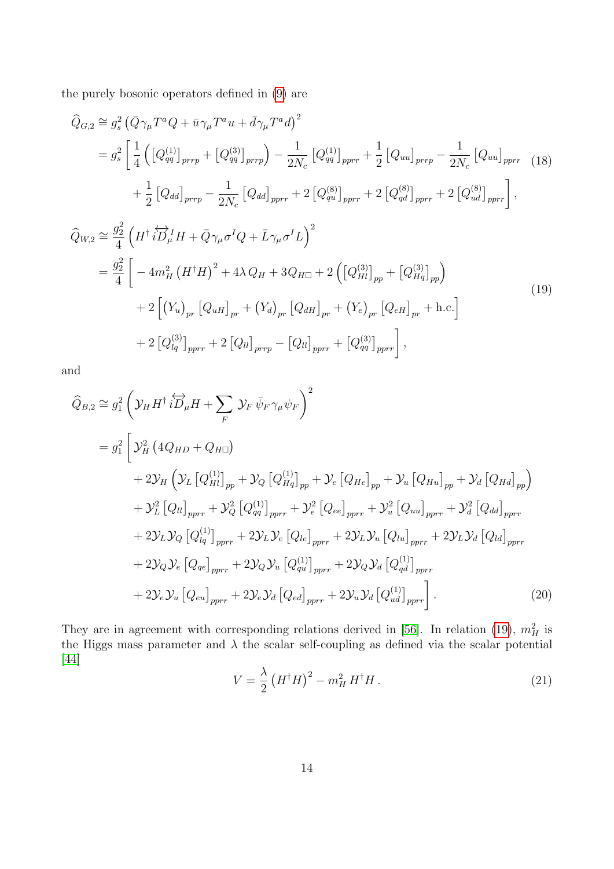the purely bosonic operators defined in [\(9\)](#page-9-1) are

<span id="page-14-2"></span>
$$
\begin{split}\n\widehat{Q}_{G,2} &\cong g_s^2 \left( \bar{Q} \gamma_\mu T^a Q + \bar{u} \gamma_\mu T^a u + \bar{d} \gamma_\mu T^a d \right)^2 \\
&= g_s^2 \left[ \frac{1}{4} \left( \left[ Q_{qq}^{(1)} \right]_{prrp} + \left[ Q_{qq}^{(3)} \right]_{prrp} \right) - \frac{1}{2N_c} \left[ Q_{qq}^{(1)} \right]_{prrr} + \frac{1}{2} \left[ Q_{uu} \right]_{prrp} - \frac{1}{2N_c} \left[ Q_{uu} \right]_{pprr} \right. \\
&\quad + \frac{1}{2} \left[ Q_{dd} \right]_{prrp} - \frac{1}{2N_c} \left[ Q_{dd} \right]_{pprr} + 2 \left[ Q_{qu}^{(8)} \right]_{pprr} + 2 \left[ Q_{qd}^{(8)} \right]_{pprr} + 2 \left[ Q_{ud}^{(8)} \right]_{pprr} \right],\n\end{split}
$$

<span id="page-14-0"></span>
$$
\begin{split}\n\widehat{Q}_{W,2} &\cong \frac{g_2^2}{4} \left( H^\dagger i \overleftrightarrow{D}_\mu^1 H + \overline{Q} \gamma_\mu \sigma^I Q + \overline{L} \gamma_\mu \sigma^I L \right)^2 \\
&= \frac{g_2^2}{4} \left[ -4m_H^2 \left( H^\dagger H \right)^2 + 4\lambda Q_H + 3Q_{H\Box} + 2 \left( \left[ Q_{Hl}^{(3)} \right]_{pp} + \left[ Q_{Hq}^{(3)} \right]_{pp} \right) \right. \\
&\quad + 2 \left[ \left( Y_u \right)_{pr} \left[ Q_{uH} \right]_{pr} + \left( Y_d \right)_{pr} \left[ Q_{dH} \right]_{pr} + \left( Y_e \right)_{pr} \left[ Q_{eH} \right]_{pr} + \text{h.c.} \right] \\
&\quad + 2 \left[ Q_{lq}^{(3)} \right]_{pprr} + 2 \left[ Q_{ll} \right]_{prrp} - \left[ Q_{ll} \right]_{pprr} + \left[ Q_{qq}^{(3)} \right]_{pprr} \right],\n\end{split} \tag{19}
$$

and

$$
\begin{split}\n\widehat{Q}_{B,2} &\cong g_1^2 \left( \mathcal{Y}_H H^\dagger i \overleftrightarrow{D}_\mu H + \sum_F \mathcal{Y}_F \bar{\psi}_F \gamma_\mu \psi_F \right)^2 \\
&= g_1^2 \left[ \mathcal{Y}_H^2 \left( 4Q_{HD} + Q_{H\Box} \right) \\
&+ 2\mathcal{Y}_H \left( \mathcal{Y}_L \left[ Q_{HI}^{(1)} \right]_{pp} + \mathcal{Y}_Q \left[ Q_{Hq}^{(1)} \right]_{pp} + \mathcal{Y}_e \left[ Q_{He} \right]_{pp} + \mathcal{Y}_u \left[ Q_{Hu} \right]_{pp} + \mathcal{Y}_d \left[ Q_{Hd} \right]_{pp} \right) \\
&+ \mathcal{Y}_L^2 \left[ Q_{U} \right]_{pprr} + \mathcal{Y}_Q^2 \left[ Q_{qq}^{(1)} \right]_{pprr} + \mathcal{Y}_e^2 \left[ Q_{ee} \right]_{pprr} + \mathcal{Y}_u^2 \left[ Q_{uu} \right]_{pprr} + \mathcal{Y}_d^2 \left[ Q_{dd} \right]_{pprr} \\
&+ 2\mathcal{Y}_L \mathcal{Y}_Q \left[ Q_{iq}^{(1)} \right]_{pprr} + 2\mathcal{Y}_L \mathcal{Y}_e \left[ Q_{le} \right]_{pprr} + 2\mathcal{Y}_L \mathcal{Y}_u \left[ Q_{lu} \right]_{pprr} + 2\mathcal{Y}_L \mathcal{Y}_d \left[ Q_{ld} \right]_{pprr} \\
&+ 2\mathcal{Y}_Q \mathcal{Y}_e \left[ Q_{qe} \right]_{pprr} + 2\mathcal{Y}_Q \mathcal{Y}_u \left[ Q_{qu}^{(1)} \right]_{pprr} + 2\mathcal{Y}_Q \mathcal{Y}_d \left[ Q_{ud}^{(1)} \right]_{pprr} \\
&+ 2\mathcal{Y}_e \mathcal{Y}_u \left[ Q_{eu} \right]_{pprr} + 2\mathcal{Y}_e \mathcal{Y}_d \left[ Q_{ed} \right]_{pprr} + 2\mathcal{Y}_u \mathcal{Y}_d \left[ Q_{ud}^{(1)} \right]_{pprr} \end{split} \tag{20}
$$

They are in agreement with corresponding relations derived in [\[56\]](#page-34-5). In relation [\(19\)](#page-14-0),  $m_H^2$  is the Higgs mass parameter and  $\lambda$  the scalar self-coupling as defined via the scalar potential [\[44\]](#page-33-6)

<span id="page-14-1"></span>
$$
V = \frac{\lambda}{2} \left( H^{\dagger} H \right)^2 - m_H^2 H^{\dagger} H \,. \tag{21}
$$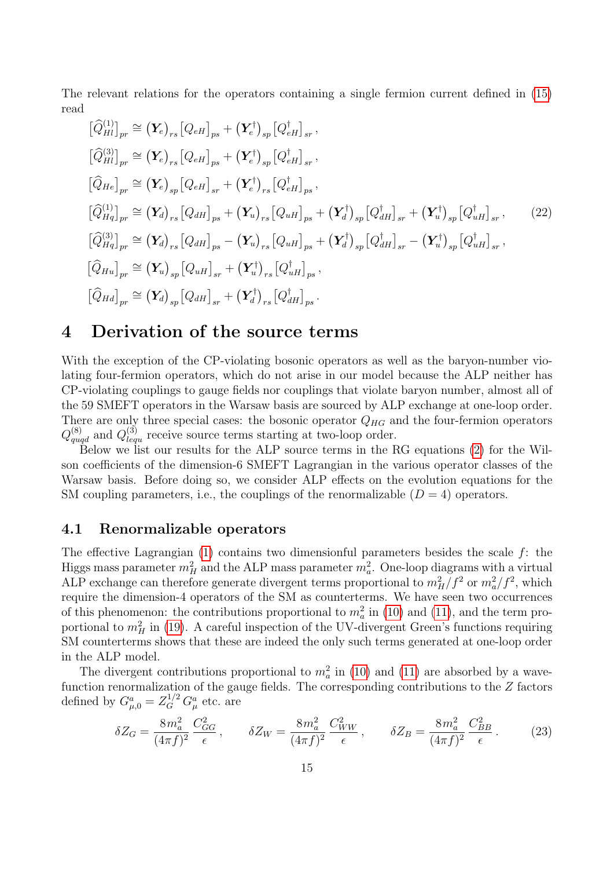The relevant relations for the operators containing a single fermion current defined in [\(15\)](#page-12-1) read

<span id="page-15-2"></span>
$$
\begin{split}\n\left[\hat{Q}_{Hl}^{(1)}\right]_{pr} &\cong \left(\mathbf{Y}_{e}\right)_{rs}\left[Q_{eH}\right]_{ps} + \left(\mathbf{Y}_{e}^{\dagger}\right)_{sp}\left[Q_{eH}^{\dagger}\right]_{sr}, \\
\left[\hat{Q}_{Hl}^{(3)}\right]_{pr} &\cong \left(\mathbf{Y}_{e}\right)_{rs}\left[Q_{eH}\right]_{ps} + \left(\mathbf{Y}_{e}^{\dagger}\right)_{sp}\left[Q_{eH}^{\dagger}\right]_{sr}, \\
\left[\hat{Q}_{He}\right]_{pr} &\cong \left(\mathbf{Y}_{e}\right)_{sp}\left[Q_{eH}\right]_{sr} + \left(\mathbf{Y}_{e}^{\dagger}\right)_{rs}\left[Q_{eH}^{\dagger}\right]_{ps}, \\
\left[\hat{Q}_{Hq}^{(1)}\right]_{pr} &\cong \left(\mathbf{Y}_{d}\right)_{rs}\left[Q_{dH}\right]_{ps} + \left(\mathbf{Y}_{u}\right)_{rs}\left[Q_{uH}\right]_{ps} + \left(\mathbf{Y}_{d}^{\dagger}\right)_{sp}\left[Q_{dH}^{\dagger}\right]_{sr} + \left(\mathbf{Y}_{u}^{\dagger}\right)_{sp}\left[Q_{uH}^{\dagger}\right]_{sr},\n\end{split} \tag{22}
$$
\n
$$
\begin{split}\n\left[\hat{Q}_{Hq}^{(3)}\right]_{pr} &\cong \left(\mathbf{Y}_{d}\right)_{rs}\left[Q_{dH}\right]_{ps} - \left(\mathbf{Y}_{u}\right)_{rs}\left[Q_{uH}\right]_{ps} + \left(\mathbf{Y}_{d}^{\dagger}\right)_{sp}\left[Q_{dH}^{\dagger}\right]_{sr} - \left(\mathbf{Y}_{u}^{\dagger}\right)_{sp}\left[Q_{uH}^{\dagger}\right]_{sr}, \\
\left[\hat{Q}_{Hu}\right]_{pr} &\cong \left(\mathbf{Y}_{u}\right)_{sp}\left[Q_{uH}\right]_{sr} + \left(\mathbf{Y}_{u}^{\dagger}\right)_{rs}\left[Q_{uH}^{\dagger}\right]_{ps},\n\end{split}
$$
\n
$$
\begin{split}\n\left[\hat{Q}_{Hd}^{(1)}\right]_{pr} &\cong \left(\mathbf{Y}_{d}\right)_{sp}\left[Q_{uH}\right]
$$

### <span id="page-15-0"></span>4 Derivation of the source terms

With the exception of the CP-violating bosonic operators as well as the baryon-number violating four-fermion operators, which do not arise in our model because the ALP neither has CP-violating couplings to gauge fields nor couplings that violate baryon number, almost all of the 59 SMEFT operators in the Warsaw basis are sourced by ALP exchange at one-loop order. There are only three special cases: the bosonic operator  $Q_{HG}$  and the four-fermion operators  $Q_{quq\bar{d}}^{(8)}$  and  $Q_{lequ}^{(3)}$  receive source terms starting at two-loop order.

Below we list our results for the ALP source terms in the RG equations [\(2\)](#page-3-1) for the Wilson coefficients of the dimension-6 SMEFT Lagrangian in the various operator classes of the Warsaw basis. Before doing so, we consider ALP effects on the evolution equations for the SM coupling parameters, i.e., the couplings of the renormalizable  $(D = 4)$  operators.

#### <span id="page-15-1"></span>4.1 Renormalizable operators

The effective Lagrangian  $(1)$  contains two dimensionful parameters besides the scale  $f$ : the Higgs mass parameter  $m_H^2$  and the ALP mass parameter  $m_a^2$ . One-loop diagrams with a virtual ALP exchange can therefore generate divergent terms proportional to  $m_H^2/f^2$  or  $m_a^2/f^2$ , which require the dimension-4 operators of the SM as counterterms. We have seen two occurrences of this phenomenon: the contributions proportional to  $m_a^2$  in [\(10\)](#page-9-2) and [\(11\)](#page-9-3), and the term proportional to  $m_H^2$  in [\(19\)](#page-14-0). A careful inspection of the UV-divergent Green's functions requiring SM counterterms shows that these are indeed the only such terms generated at one-loop order in the ALP model.

The divergent contributions proportional to  $m_a^2$  in [\(10\)](#page-9-2) and [\(11\)](#page-9-3) are absorbed by a wavefunction renormalization of the gauge fields. The corresponding contributions to the Z factors defined by  $G_{\mu,0}^a = Z_G^{1/2} G_\mu^a$  etc. are

$$
\delta Z_G = \frac{8m_a^2}{(4\pi f)^2} \frac{C_{GG}^2}{\epsilon}, \qquad \delta Z_W = \frac{8m_a^2}{(4\pi f)^2} \frac{C_{WW}^2}{\epsilon}, \qquad \delta Z_B = \frac{8m_a^2}{(4\pi f)^2} \frac{C_{BB}^2}{\epsilon}.
$$
 (23)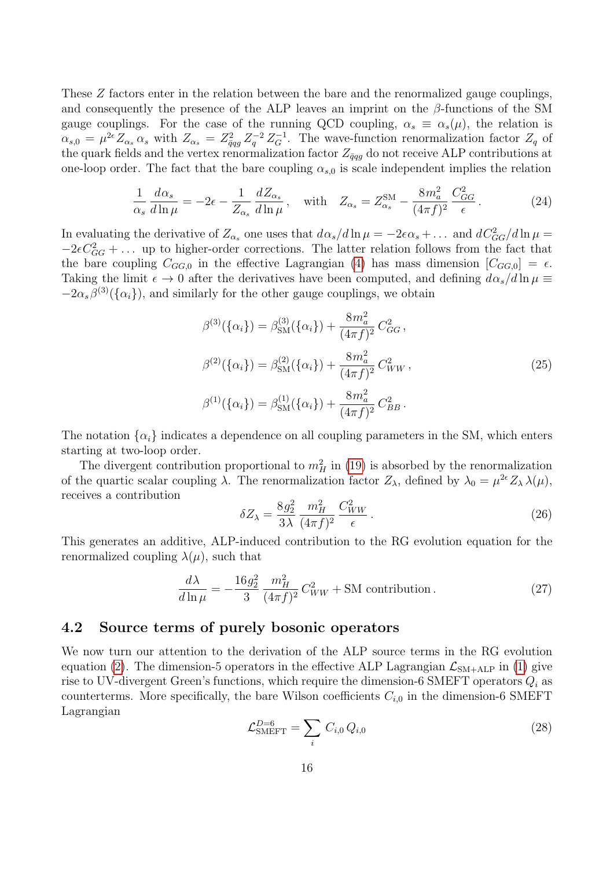These Z factors enter in the relation between the bare and the renormalized gauge couplings, and consequently the presence of the ALP leaves an imprint on the  $\beta$ -functions of the SM gauge couplings. For the case of the running QCD coupling,  $\alpha_s \equiv \alpha_s(\mu)$ , the relation is  $\alpha_{s,0} = \mu^{2\epsilon} Z_{\alpha_s} \alpha_s$  with  $Z_{\alpha_s} = Z_{\bar{q}qg}^2 Z_q^{-2} Z_G^{-1}$ . The wave-function renormalization factor  $Z_q$  of the quark fields and the vertex renormalization factor  $Z_{\bar{q}qg}$  do not receive ALP contributions at one-loop order. The fact that the bare coupling  $\alpha_{s,0}$  is scale independent implies the relation

$$
\frac{1}{\alpha_s} \frac{d\alpha_s}{d\ln \mu} = -2\epsilon - \frac{1}{Z_{\alpha_s}} \frac{dZ_{\alpha_s}}{d\ln \mu}, \quad \text{with} \quad Z_{\alpha_s} = Z_{\alpha_s}^{\text{SM}} - \frac{8m_a^2}{(4\pi f)^2} \frac{C_{GG}^2}{\epsilon}.
$$
 (24)

In evaluating the derivative of  $Z_{\alpha_s}$  one uses that  $d\alpha_s/d\ln\mu = -2\epsilon\alpha_s + ...$  and  $dC_{GG}^2/d\ln\mu =$  $-2\epsilon C_{GG}^2 + \ldots$  up to higher-order corrections. The latter relation follows from the fact that the bare coupling  $C_{GG,0}$  in the effective Lagrangian [\(4\)](#page-5-1) has mass dimension  $[C_{GG,0}] = \epsilon$ . Taking the limit  $\epsilon \to 0$  after the derivatives have been computed, and defining  $d\alpha_s/d\ln\mu \equiv$  $-2\alpha_s\beta^{(3)}(\{\alpha_i\})$ , and similarly for the other gauge couplings, we obtain

$$
\beta^{(3)}(\{\alpha_i\}) = \beta_{\rm SM}^{(3)}(\{\alpha_i\}) + \frac{8m_a^2}{(4\pi f)^2} C_{GG}^2,
$$
  

$$
\beta^{(2)}(\{\alpha_i\}) = \beta_{\rm SM}^{(2)}(\{\alpha_i\}) + \frac{8m_a^2}{(4\pi f)^2} C_{WW}^2,
$$
  

$$
\beta^{(1)}(\{\alpha_i\}) = \beta_{\rm SM}^{(1)}(\{\alpha_i\}) + \frac{8m_a^2}{(4\pi f)^2} C_{BB}^2.
$$
 (25)

The notation  $\{\alpha_i\}$  indicates a dependence on all coupling parameters in the SM, which enters starting at two-loop order.

The divergent contribution proportional to  $m_H^2$  in [\(19\)](#page-14-0) is absorbed by the renormalization of the quartic scalar coupling  $\lambda$ . The renormalization factor  $Z_{\lambda}$ , defined by  $\lambda_0 = \mu^{2\epsilon} Z_{\lambda} \lambda(\mu)$ , receives a contribution

$$
\delta Z_{\lambda} = \frac{8g_2^2}{3\lambda} \frac{m_H^2}{(4\pi f)^2} \frac{C_{WW}^2}{\epsilon} \,. \tag{26}
$$

This generates an additive, ALP-induced contribution to the RG evolution equation for the renormalized coupling  $\lambda(\mu)$ , such that

$$
\frac{d\lambda}{d\ln\mu} = -\frac{16g_2^2}{3} \frac{m_H^2}{(4\pi f)^2} C_{WW}^2 + SM \text{ contribution.}
$$
 (27)

#### <span id="page-16-0"></span>4.2 Source terms of purely bosonic operators

We now turn our attention to the derivation of the ALP source terms in the RG evolution equation [\(2\)](#page-3-1). The dimension-5 operators in the effective ALP Lagrangian  $\mathcal{L}_{SM+ALP}$  in [\(1\)](#page-2-1) give rise to UV-divergent Green's functions, which require the dimension-6 SMEFT operators  $Q_i$  as counterterms. More specifically, the bare Wilson coefficients  $C_{i,0}$  in the dimension-6 SMEFT Lagrangian

$$
\mathcal{L}_{\text{SMEFT}}^{D=6} = \sum_{i} C_{i,0} Q_{i,0} \tag{28}
$$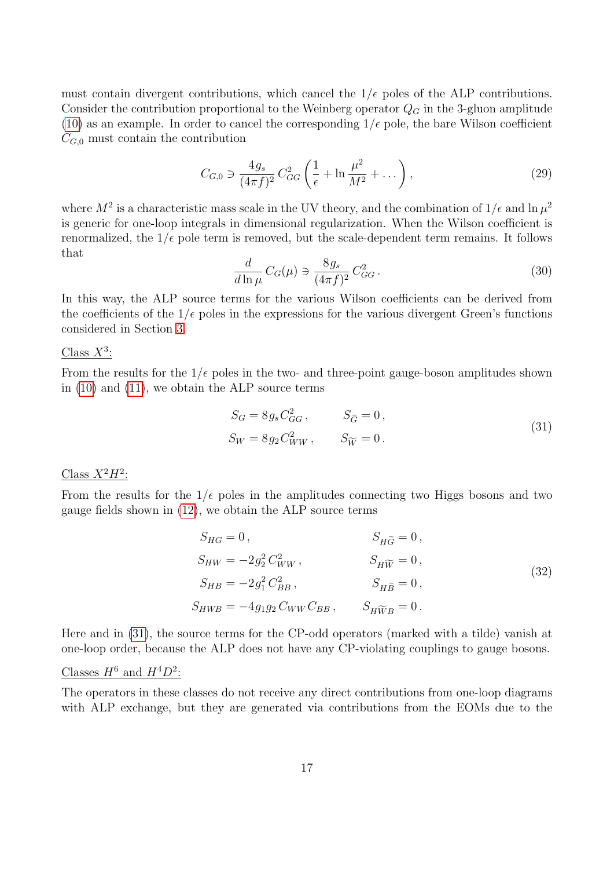must contain divergent contributions, which cancel the  $1/\epsilon$  poles of the ALP contributions. Consider the contribution proportional to the Weinberg operator  $Q_G$  in the 3-gluon amplitude [\(10\)](#page-9-2) as an example. In order to cancel the corresponding  $1/\epsilon$  pole, the bare Wilson coefficient  $C_{G,0}$  must contain the contribution

$$
C_{G,0} \ni \frac{4g_s}{(4\pi f)^2} C_{GG}^2 \left( \frac{1}{\epsilon} + \ln \frac{\mu^2}{M^2} + \dots \right),\tag{29}
$$

where  $M^2$  is a characteristic mass scale in the UV theory, and the combination of  $1/\epsilon$  and  $\ln \mu^2$ is generic for one-loop integrals in dimensional regularization. When the Wilson coefficient is renormalized, the  $1/\epsilon$  pole term is removed, but the scale-dependent term remains. It follows that

$$
\frac{d}{d\ln\mu}C_G(\mu) \ni \frac{8g_s}{(4\pi f)^2}C_{GG}^2.
$$
\n(30)

In this way, the ALP source terms for the various Wilson coefficients can be derived from the coefficients of the  $1/\epsilon$  poles in the expressions for the various divergent Green's functions considered in Section [3.](#page-6-0)

### Class  $X^3$ :

From the results for the  $1/\epsilon$  poles in the two- and three-point gauge-boson amplitudes shown in [\(10\)](#page-9-2) and [\(11\)](#page-9-3), we obtain the ALP source terms

<span id="page-17-0"></span>
$$
S_G = 8g_s C_{GG}^2, \t S_{\widetilde{G}} = 0,
$$
  
\n
$$
S_W = 8g_2 C_{WW}^2, \t S_{\widetilde{W}} = 0.
$$
\n(31)

### Class  $X^2H^2$ :

From the results for the  $1/\epsilon$  poles in the amplitudes connecting two Higgs bosons and two gauge fields shown in [\(12\)](#page-10-2), we obtain the ALP source terms

$$
S_{HG} = 0, \t S_{H\widetilde{G}} = 0, \n S_{HW} = -2g_2^2 C_{WW}^2, \t S_{H\widetilde{W}} = 0, \n S_{HB} = -2g_1^2 C_{BB}^2, \t S_{H\widetilde{B}} = 0, \n S_{HWB} = -4g_1g_2 C_{WW}C_{BB}, \t S_{H\widetilde{W}B} = 0.
$$
\n(32)

Here and in [\(31\)](#page-17-0), the source terms for the CP-odd operators (marked with a tilde) vanish at one-loop order, because the ALP does not have any CP-violating couplings to gauge bosons.

### Classes  $H^6$  and  $H^4D^2$ :

The operators in these classes do not receive any direct contributions from one-loop diagrams with ALP exchange, but they are generated via contributions from the EOMs due to the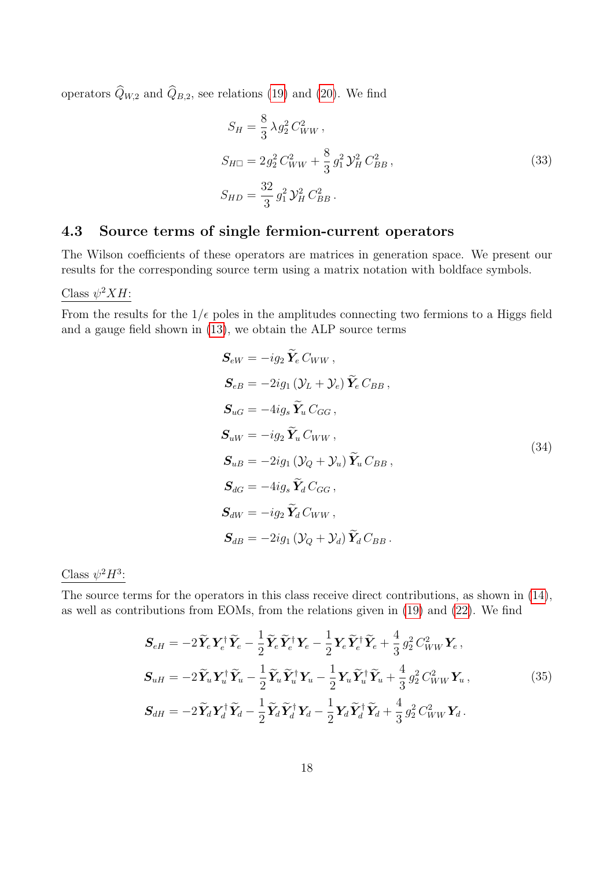operators  $\widehat{Q}_{W,2}$  and  $\widehat{Q}_{B,2}$ , see relations [\(19\)](#page-14-0) and [\(20\)](#page-14-1). We find

$$
S_H = \frac{8}{3} \lambda g_2^2 C_{WW}^2 ,
$$
  
\n
$$
S_{H\Box} = 2 g_2^2 C_{WW}^2 + \frac{8}{3} g_1^2 \mathcal{Y}_H^2 C_{BB}^2 ,
$$
  
\n
$$
S_{HD} = \frac{32}{3} g_1^2 \mathcal{Y}_H^2 C_{BB}^2 .
$$
\n(33)

### <span id="page-18-0"></span>4.3 Source terms of single fermion-current operators

The Wilson coefficients of these operators are matrices in generation space. We present our results for the corresponding source term using a matrix notation with boldface symbols.

### Class  $\psi^2 X H$ :

From the results for the  $1/\epsilon$  poles in the amplitudes connecting two fermions to a Higgs field and a gauge field shown in [\(13\)](#page-11-2), we obtain the ALP source terms

<span id="page-18-1"></span>
$$
S_{eW} = -ig_2 \tilde{Y}_e C_{WW},
$$
  
\n
$$
S_{eB} = -2ig_1 (Y_L + Y_e) \tilde{Y}_e C_{BB},
$$
  
\n
$$
S_{uG} = -4ig_s \tilde{Y}_u C_{GG},
$$
  
\n
$$
S_{uW} = -ig_2 \tilde{Y}_u C_{WW},
$$
  
\n
$$
S_{uB} = -2ig_1 (Y_Q + Y_u) \tilde{Y}_u C_{BB},
$$
  
\n
$$
S_{dG} = -4ig_s \tilde{Y}_d C_{GG},
$$
  
\n
$$
S_{dW} = -ig_2 \tilde{Y}_d C_{WW},
$$
  
\n
$$
S_{dB} = -2ig_1 (Y_Q + Y_d) \tilde{Y}_d C_{BB}.
$$
  
\n(34)

Class  $\psi^2 H^3$ :

The source terms for the operators in this class receive direct contributions, as shown in [\(14\)](#page-11-3), as well as contributions from EOMs, from the relations given in [\(19\)](#page-14-0) and [\(22\)](#page-15-2). We find

$$
\mathbf{S}_{eH} = -2\tilde{\mathbf{Y}}_{e}\mathbf{Y}_{e}^{\dagger}\tilde{\mathbf{Y}}_{e} - \frac{1}{2}\tilde{\mathbf{Y}}_{e}\tilde{\mathbf{Y}}_{e}^{\dagger}\mathbf{Y}_{e} - \frac{1}{2}\mathbf{Y}_{e}\tilde{\mathbf{Y}}_{e}^{\dagger}\tilde{\mathbf{Y}}_{e} + \frac{4}{3}g_{2}^{2}C_{WW}^{2}\mathbf{Y}_{e},
$$
\n
$$
\mathbf{S}_{uH} = -2\tilde{\mathbf{Y}}_{u}\mathbf{Y}_{u}^{\dagger}\tilde{\mathbf{Y}}_{u} - \frac{1}{2}\tilde{\mathbf{Y}}_{u}\tilde{\mathbf{Y}}_{u}^{\dagger}\mathbf{Y}_{u} - \frac{1}{2}\mathbf{Y}_{u}\tilde{\mathbf{Y}}_{u}^{\dagger}\tilde{\mathbf{Y}}_{u} + \frac{4}{3}g_{2}^{2}C_{WW}^{2}\mathbf{Y}_{u},
$$
\n(35)\n
$$
\mathbf{S}_{dH} = -2\tilde{\mathbf{Y}}_{d}\mathbf{Y}_{d}^{\dagger}\tilde{\mathbf{Y}}_{d} - \frac{1}{2}\tilde{\mathbf{Y}}_{d}\tilde{\mathbf{Y}}_{d}^{\dagger}\mathbf{Y}_{d} - \frac{1}{2}\mathbf{Y}_{d}\tilde{\mathbf{Y}}_{d}^{\dagger}\tilde{\mathbf{Y}}_{d} + \frac{4}{3}g_{2}^{2}C_{WW}^{2}\mathbf{Y}_{d}.
$$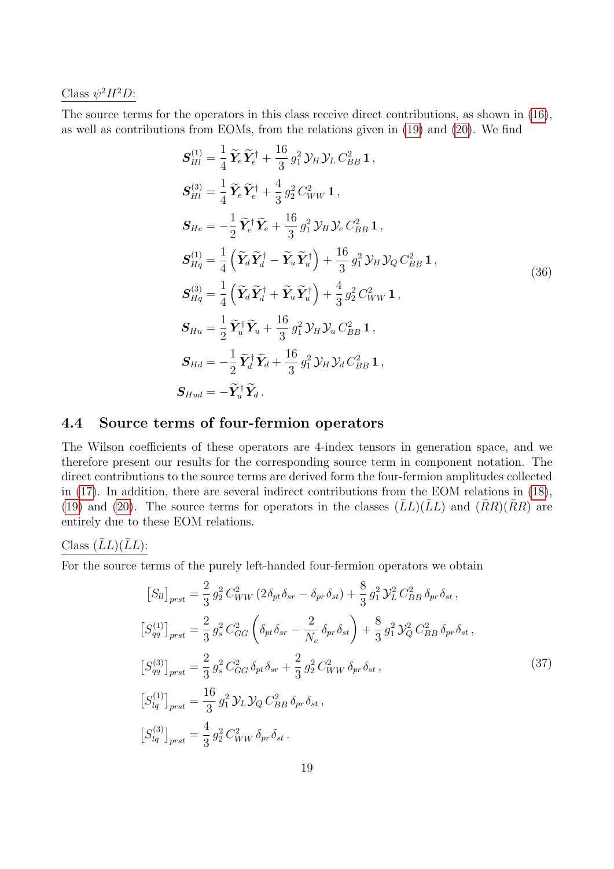Class  $\psi^2 H^2 D$ :

The source terms for the operators in this class receive direct contributions, as shown in [\(16\)](#page-12-2), as well as contributions from EOMs, from the relations given in [\(19\)](#page-14-0) and [\(20\)](#page-14-1). We find

<span id="page-19-1"></span>
$$
S_{Hl}^{(1)} = \frac{1}{4} \tilde{Y}_e \tilde{Y}_e^{\dagger} + \frac{16}{3} g_1^2 \mathcal{Y}_H \mathcal{Y}_L C_{BB}^2 \mathbf{1},
$$
  
\n
$$
S_{Hl}^{(3)} = \frac{1}{4} \tilde{Y}_e \tilde{Y}_e^{\dagger} + \frac{4}{3} g_2^2 C_{WW}^2 \mathbf{1},
$$
  
\n
$$
S_{He} = -\frac{1}{2} \tilde{Y}_e^{\dagger} \tilde{Y}_e + \frac{16}{3} g_1^2 \mathcal{Y}_H \mathcal{Y}_e C_{BB}^2 \mathbf{1},
$$
  
\n
$$
S_{Hq}^{(1)} = \frac{1}{4} \left( \tilde{Y}_d \tilde{Y}_d^{\dagger} - \tilde{Y}_u \tilde{Y}_u^{\dagger} \right) + \frac{16}{3} g_1^2 \mathcal{Y}_H \mathcal{Y}_Q C_{BB}^2 \mathbf{1},
$$
  
\n
$$
S_{Hq}^{(3)} = \frac{1}{4} \left( \tilde{Y}_d \tilde{Y}_d^{\dagger} + \tilde{Y}_u \tilde{Y}_u^{\dagger} \right) + \frac{4}{3} g_2^2 C_{WW}^2 \mathbf{1},
$$
  
\n
$$
S_{Hu} = \frac{1}{2} \tilde{Y}_u^{\dagger} \tilde{Y}_u + \frac{16}{3} g_1^2 \mathcal{Y}_H \mathcal{Y}_u C_{BB}^2 \mathbf{1},
$$
  
\n
$$
S_{Hd} = -\frac{1}{2} \tilde{Y}_d^{\dagger} \tilde{Y}_d + \frac{16}{3} g_1^2 \mathcal{Y}_H \mathcal{Y}_d C_{BB}^2 \mathbf{1},
$$
  
\n
$$
S_{Hud} = -\tilde{Y}_u^{\dagger} \tilde{Y}_d.
$$

### <span id="page-19-0"></span>4.4 Source terms of four-fermion operators

The Wilson coefficients of these operators are 4-index tensors in generation space, and we therefore present our results for the corresponding source term in component notation. The direct contributions to the source terms are derived form the four-fermion amplitudes collected in [\(17\)](#page-13-3). In addition, there are several indirect contributions from the EOM relations in [\(18\)](#page-14-2), [\(19\)](#page-14-0) and [\(20\)](#page-14-1). The source terms for operators in the classes  $(\overline{L}L)(\overline{L}L)$  and  $(\overline{R}R)(\overline{R}R)$  are entirely due to these EOM relations.

#### Class  $(LL)(LL)$ :

For the source terms of the purely left-handed four-fermion operators we obtain

<span id="page-19-2"></span>
$$
[S_{ll}]_{prst} = \frac{2}{3} g_2^2 C_{WW}^2 (2 \delta_{pt} \delta_{sr} - \delta_{pr} \delta_{st}) + \frac{8}{3} g_1^2 \mathcal{Y}_L^2 C_{BB}^2 \delta_{pr} \delta_{st},
$$
  
\n
$$
[S_{qq}^{(1)}]_{prst} = \frac{2}{3} g_s^2 C_{GG}^2 \left( \delta_{pt} \delta_{sr} - \frac{2}{N_c} \delta_{pr} \delta_{st} \right) + \frac{8}{3} g_1^2 \mathcal{Y}_Q^2 C_{BB}^2 \delta_{pr} \delta_{st},
$$
  
\n
$$
[S_{qq}^{(3)}]_{prst} = \frac{2}{3} g_s^2 C_{GG}^2 \delta_{pt} \delta_{sr} + \frac{2}{3} g_2^2 C_{WW}^2 \delta_{pr} \delta_{st},
$$
  
\n
$$
[S_{lq}^{(1)}]_{prst} = \frac{16}{3} g_1^2 \mathcal{Y}_L \mathcal{Y}_Q C_{BB}^2 \delta_{pr} \delta_{st},
$$
  
\n
$$
[S_{lq}^{(3)}]_{prst} = \frac{4}{3} g_2^2 C_{WW}^2 \delta_{pr} \delta_{st}.
$$
  
\n(37)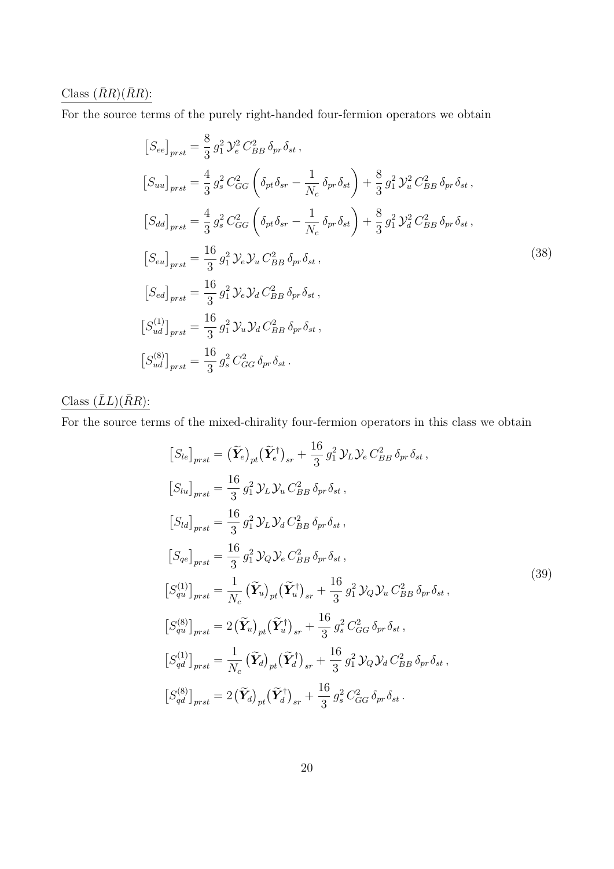### Class  $(\bar RR)(\bar RR)$ :

For the source terms of the purely right-handed four-fermion operators we obtain

$$
[S_{ee}]_{prst} = \frac{8}{3} g_1^2 \mathcal{Y}_e^2 C_{BB}^2 \delta_{pr} \delta_{st},
$$
  
\n
$$
[S_{uu}]_{prst} = \frac{4}{3} g_s^2 C_{GG}^2 \left( \delta_{pt} \delta_{sr} - \frac{1}{N_c} \delta_{pr} \delta_{st} \right) + \frac{8}{3} g_1^2 \mathcal{Y}_u^2 C_{BB}^2 \delta_{pr} \delta_{st},
$$
  
\n
$$
[S_{dd}]_{prst} = \frac{4}{3} g_s^2 C_{GG}^2 \left( \delta_{pt} \delta_{sr} - \frac{1}{N_c} \delta_{pr} \delta_{st} \right) + \frac{8}{3} g_1^2 \mathcal{Y}_d^2 C_{BB}^2 \delta_{pr} \delta_{st},
$$
  
\n
$$
[S_{eu}]_{prst} = \frac{16}{3} g_1^2 \mathcal{Y}_e \mathcal{Y}_u C_{BB}^2 \delta_{pr} \delta_{st},
$$
  
\n
$$
[S_{ed}]_{prst} = \frac{16}{3} g_1^2 \mathcal{Y}_e \mathcal{Y}_d C_{BB}^2 \delta_{pr} \delta_{st},
$$
  
\n
$$
[S_{ud}^{(1)}]_{prst} = \frac{16}{3} g_1^2 \mathcal{Y}_u \mathcal{Y}_d C_{BB}^2 \delta_{pr} \delta_{st},
$$
  
\n
$$
[S_{ud}^{(8)}]_{prst} = \frac{16}{3} g_s^2 C_{GG}^2 \delta_{pr} \delta_{st}.
$$
  
\n(38)

### Class  $(\bar LL)(\bar RR)$  :

For the source terms of the mixed-chirality four-fermion operators in this class we obtain

$$
[S_{le}]_{prst} = (\tilde{Y}_e)_{pt} (\tilde{Y}_e^{\dagger})_{sr} + \frac{16}{3} g_1^2 \mathcal{Y}_L \mathcal{Y}_e C_{BB}^2 \delta_{pr} \delta_{st},
$$
  
\n
$$
[S_{lu}]_{prst} = \frac{16}{3} g_1^2 \mathcal{Y}_L \mathcal{Y}_u C_{BB}^2 \delta_{pr} \delta_{st},
$$
  
\n
$$
[S_{ld}]_{prst} = \frac{16}{3} g_1^2 \mathcal{Y}_L \mathcal{Y}_d C_{BB}^2 \delta_{pr} \delta_{st},
$$
  
\n
$$
[S_{qe}]_{prst} = \frac{16}{3} g_1^2 \mathcal{Y}_Q \mathcal{Y}_e C_{BB}^2 \delta_{pr} \delta_{st},
$$
  
\n
$$
[S_{qu}^{(1)}]_{prst} = \frac{1}{N_c} (\tilde{Y}_u)_{pt} (\tilde{Y}_u^{\dagger})_{sr} + \frac{16}{3} g_1^2 \mathcal{Y}_Q \mathcal{Y}_u C_{BB}^2 \delta_{pr} \delta_{st},
$$
  
\n
$$
[S_{qu}^{(8)}]_{prst} = 2 (\tilde{Y}_u)_{pt} (\tilde{Y}_u^{\dagger})_{sr} + \frac{16}{3} g_s^2 C_{GG}^2 \delta_{pr} \delta_{st},
$$
  
\n
$$
[S_{qd}^{(1)}]_{prst} = \frac{1}{N_c} (\tilde{Y}_d)_{pt} (\tilde{Y}_d^{\dagger})_{sr} + \frac{16}{3} g_1^2 \mathcal{Y}_Q \mathcal{Y}_d C_{BB}^2 \delta_{pr} \delta_{st},
$$
  
\n
$$
[S_{qd}^{(8)}]_{prst} = 2 (\tilde{Y}_d)_{pt} (\tilde{Y}_d^{\dagger})_{sr} + \frac{16}{3} g_s^2 C_{GG}^2 \delta_{pr} \delta_{st}.
$$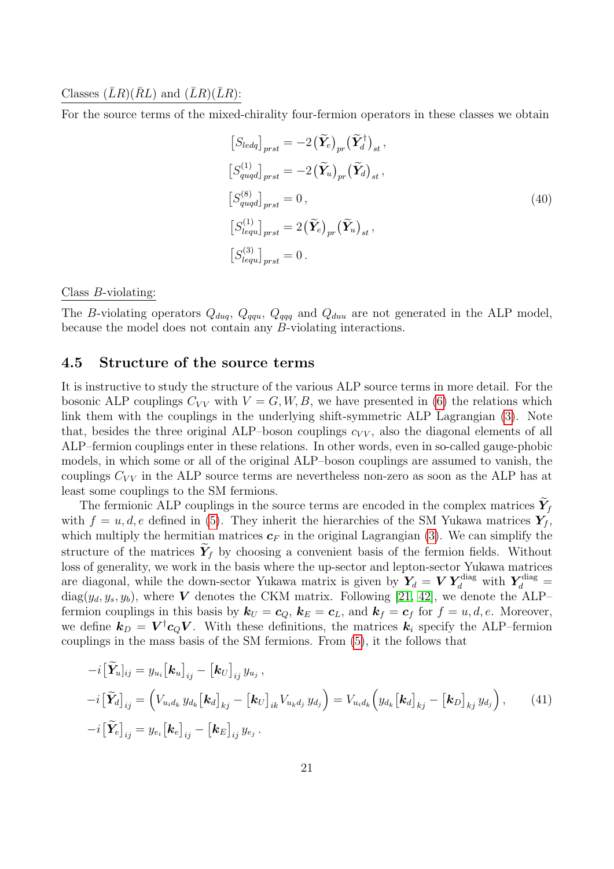#### Classes  $(\bar{L}R)(\bar{R}L)$  and  $(\bar{L}R)(\bar{L}R)$ :

For the source terms of the mixed-chirality four-fermion operators in these classes we obtain

$$
[S_{ledq}]_{prst} = -2(\widetilde{\mathbf{Y}}_e)_{pr} (\widetilde{\mathbf{Y}}_d^{\dagger})_{st},
$$
  
\n
$$
[S_{quqd}^{(1)}]_{prst} = -2(\widetilde{\mathbf{Y}}_u)_{pr} (\widetilde{\mathbf{Y}}_d)_{st},
$$
  
\n
$$
[S_{quqd}^{(8)}]_{prst} = 0,
$$
  
\n
$$
[S_{lequ}^{(1)}]_{prst} = 2(\widetilde{\mathbf{Y}}_e)_{pr} (\widetilde{\mathbf{Y}}_u)_{st},
$$
  
\n
$$
[S_{lequ}^{(3)}]_{prst} = 0.
$$
  
\n(40)

#### Class B-violating:

The B-violating operators  $Q_{duq}$ ,  $Q_{qqq}$ ,  $Q_{qqq}$  and  $Q_{duu}$  are not generated in the ALP model, because the model does not contain any B-violating interactions.

#### <span id="page-21-0"></span>4.5 Structure of the source terms

It is instructive to study the structure of the various ALP source terms in more detail. For the bosonic ALP couplings  $C_{VV}$  with  $V = G, W, B$ , we have presented in [\(6\)](#page-5-3) the relations which link them with the couplings in the underlying shift-symmetric ALP Lagrangian [\(3\)](#page-4-1). Note that, besides the three original ALP–boson couplings  $c_{VV}$ , also the diagonal elements of all ALP–fermion couplings enter in these relations. In other words, even in so-called gauge-phobic models, in which some or all of the original ALP–boson couplings are assumed to vanish, the couplings  $C_{VV}$  in the ALP source terms are nevertheless non-zero as soon as the ALP has at least some couplings to the SM fermions.

The fermionic ALP couplings in the source terms are encoded in the complex matrices  $Y_f$ with  $f = u, d, e$  defined in [\(5\)](#page-5-2). They inherit the hierarchies of the SM Yukawa matrices  $Y_f$ , which multiply the hermitian matrices  $c_F$  in the original Lagrangian [\(3\)](#page-4-1). We can simplify the structure of the matrices  $Y_f$  by choosing a convenient basis of the fermion fields. Without loss of generality, we work in the basis where the up-sector and lepton-sector Yukawa matrices are diagonal, while the down-sector Yukawa matrix is given by  $Y_d = V Y_d^{\text{diag}}$  with  $Y_d^{\text{diag}} =$  $diag(y_d, y_s, y_b)$ , where V denotes the CKM matrix. Following [\[21,](#page-32-4) [42\]](#page-33-4), we denote the ALP– fermion couplings in this basis by  $k_U = c_Q$ ,  $k_E = c_L$ , and  $k_f = c_f$  for  $f = u, d, e$ . Moreover, we define  $\mathbf{k}_D = \mathbf{V}^\dagger \mathbf{c}_Q \mathbf{V}$ . With these definitions, the matrices  $\mathbf{k}_i$  specify the ALP-fermion couplings in the mass basis of the SM fermions. From [\(5\)](#page-5-2), it the follows that

<span id="page-21-1"></span>
$$
-i\left[\widetilde{\mathbf{Y}}_{u}\right]_{ij} = y_{u_i}\left[\mathbf{k}_u\right]_{ij} - \left[\mathbf{k}_U\right]_{ij} y_{u_j},
$$
  
\n
$$
-i\left[\widetilde{\mathbf{Y}}_{d}\right]_{ij} = \left(V_{u_i d_k} y_{d_k} \left[\mathbf{k}_d\right]_{kj} - \left[\mathbf{k}_U\right]_{ik} V_{u_k d_j} y_{d_j}\right) = V_{u_i d_k} \left(y_{d_k} \left[\mathbf{k}_d\right]_{kj} - \left[\mathbf{k}_D\right]_{kj} y_{d_j}\right),
$$
(41)  
\n
$$
-i\left[\widetilde{\mathbf{Y}}_{e}\right]_{ij} = y_{e_i} \left[\mathbf{k}_e\right]_{ij} - \left[\mathbf{k}_E\right]_{ij} y_{e_j}.
$$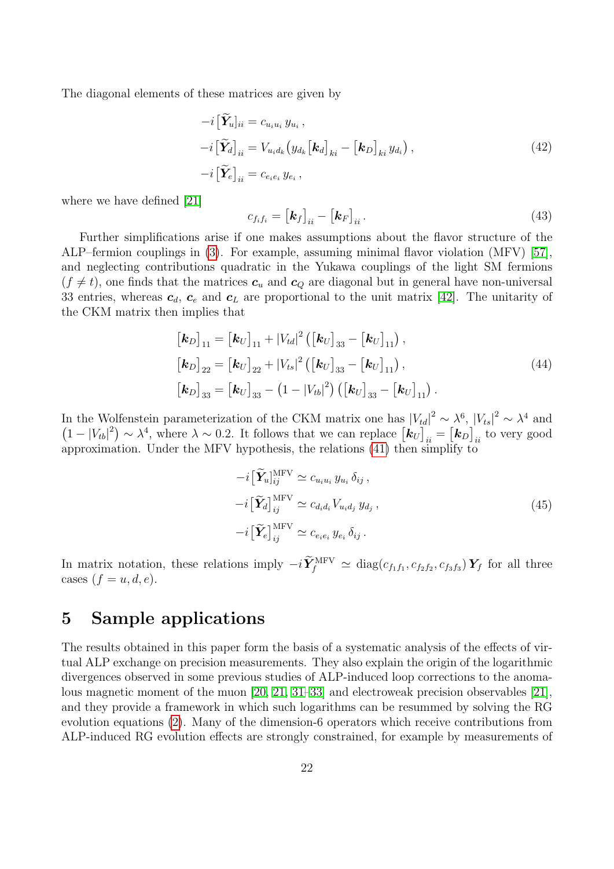The diagonal elements of these matrices are given by

<span id="page-22-1"></span>
$$
-i\left[\tilde{\mathbf{Y}}_{u}\right]_{ii} = c_{u_i u_i} y_{u_i},
$$
  
\n
$$
-i\left[\tilde{\mathbf{Y}}_{d}\right]_{ii} = V_{u_i d_k} \left(y_{d_k} \left[\mathbf{k}_d\right]_{ki} - \left[\mathbf{k}_D\right]_{ki} y_{d_i}\right),
$$
  
\n
$$
-i\left[\tilde{\mathbf{Y}}_{e}\right]_{ii} = c_{e_i e_i} y_{e_i},
$$
\n(42)

where we have defined [\[21\]](#page-32-4)

$$
c_{f_i f_i} = \left[ \mathbf{k}_f \right]_{ii} - \left[ \mathbf{k}_F \right]_{ii} . \tag{43}
$$

Further simplifications arise if one makes assumptions about the flavor structure of the ALP–fermion couplings in [\(3\)](#page-4-1). For example, assuming minimal flavor violation (MFV) [\[57\]](#page-34-6), and neglecting contributions quadratic in the Yukawa couplings of the light SM fermions  $(f \neq t)$ , one finds that the matrices  $c_u$  and  $c_Q$  are diagonal but in general have non-universal 33 entries, whereas  $c_d$ ,  $c_e$  and  $c_L$  are proportional to the unit matrix [\[42\]](#page-33-4). The unitarity of the CKM matrix then implies that

$$
\begin{aligned}\n\left[\mathbf{k}_{D}\right]_{11} &= \left[\mathbf{k}_{U}\right]_{11} + \left|V_{td}\right|^{2} \left(\left[\mathbf{k}_{U}\right]_{33} - \left[\mathbf{k}_{U}\right]_{11}\right), \\
\left[\mathbf{k}_{D}\right]_{22} &= \left[\mathbf{k}_{U}\right]_{22} + \left|V_{ts}\right|^{2} \left(\left[\mathbf{k}_{U}\right]_{33} - \left[\mathbf{k}_{U}\right]_{11}\right), \\
\left[\mathbf{k}_{D}\right]_{33} &= \left[\mathbf{k}_{U}\right]_{33} - \left(1 - \left|V_{tb}\right|^{2}\right) \left(\left[\mathbf{k}_{U}\right]_{33} - \left[\mathbf{k}_{U}\right]_{11}\right).\n\end{aligned} \tag{44}
$$

In the Wolfenstein parameterization of the CKM matrix one has  $|V_{td}|^2 \sim \lambda^6$ ,  $|V_{ts}|^2 \sim \lambda^4$  and  $(1-|V_{tb}|^2) \sim \lambda^4$ , where  $\lambda \sim 0.2$ . It follows that we can replace  $[\mathbf{k}_U]_{ii} = [\mathbf{k}_D]_{ii}$  to very good approximation. Under the MFV hypothesis, the relations [\(41\)](#page-21-1) then simplify to

$$
-i\left[\widetilde{\mathbf{Y}}_{u}\right]_{ij}^{\text{MFV}} \simeq c_{u_i u_i} y_{u_i} \,\delta_{ij} ,
$$

$$
-i\left[\widetilde{\mathbf{Y}}_{d}\right]_{ij}^{\text{MFV}} \simeq c_{d_i d_i} V_{u_i d_j} y_{d_j} ,
$$

$$
-i\left[\widetilde{\mathbf{Y}}_{e}\right]_{ij}^{\text{MFV}} \simeq c_{e_i e_i} y_{e_i} \,\delta_{ij} .
$$

$$
(45)
$$

In matrix notation, these relations imply  $-i\tilde{Y}_{f}^{\text{MFV}} \simeq \text{diag}(c_{f_1f_1}, c_{f_2f_2}, c_{f_3f_3}) Y_f$  for all three cases  $(f = u, d, e)$ .

### <span id="page-22-0"></span>5 Sample applications

The results obtained in this paper form the basis of a systematic analysis of the effects of virtual ALP exchange on precision measurements. They also explain the origin of the logarithmic divergences observed in some previous studies of ALP-induced loop corrections to the anomalous magnetic moment of the muon [\[20,](#page-32-3) [21,](#page-32-4) [31–](#page-33-0)[33\]](#page-33-1) and electroweak precision observables [\[21\]](#page-32-4), and they provide a framework in which such logarithms can be resummed by solving the RG evolution equations [\(2\)](#page-3-1). Many of the dimension-6 operators which receive contributions from ALP-induced RG evolution effects are strongly constrained, for example by measurements of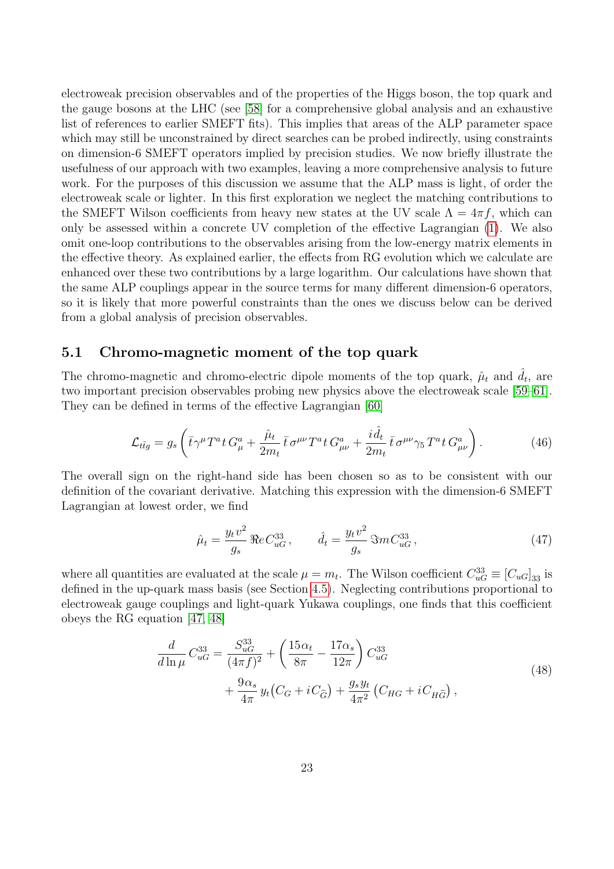electroweak precision observables and of the properties of the Higgs boson, the top quark and the gauge bosons at the LHC (see [\[58\]](#page-34-7) for a comprehensive global analysis and an exhaustive list of references to earlier SMEFT fits). This implies that areas of the ALP parameter space which may still be unconstrained by direct searches can be probed indirectly, using constraints on dimension-6 SMEFT operators implied by precision studies. We now briefly illustrate the usefulness of our approach with two examples, leaving a more comprehensive analysis to future work. For the purposes of this discussion we assume that the ALP mass is light, of order the electroweak scale or lighter. In this first exploration we neglect the matching contributions to the SMEFT Wilson coefficients from heavy new states at the UV scale  $\Lambda = 4\pi f$ , which can only be assessed within a concrete UV completion of the effective Lagrangian [\(1\)](#page-2-1). We also omit one-loop contributions to the observables arising from the low-energy matrix elements in the effective theory. As explained earlier, the effects from RG evolution which we calculate are enhanced over these two contributions by a large logarithm. Our calculations have shown that the same ALP couplings appear in the source terms for many different dimension-6 operators, so it is likely that more powerful constraints than the ones we discuss below can be derived from a global analysis of precision observables.

#### <span id="page-23-0"></span>5.1 Chromo-magnetic moment of the top quark

The chromo-magnetic and chromo-electric dipole moments of the top quark,  $\hat{\mu}_t$  and  $\hat{d}_t$ , are two important precision observables probing new physics above the electroweak scale [\[59–](#page-34-8)[61\]](#page-34-9). They can be defined in terms of the effective Lagrangian [\[60\]](#page-34-10)

$$
\mathcal{L}_{t\bar{t}g} = g_s \left( \bar{t} \gamma^\mu T^a t G_\mu^a + \frac{\hat{\mu}_t}{2m_t} \bar{t} \sigma^{\mu\nu} T^a t G_{\mu\nu}^a + \frac{i \hat{d}_t}{2m_t} \bar{t} \sigma^{\mu\nu} \gamma_5 T^a t G_{\mu\nu}^a \right). \tag{46}
$$

The overall sign on the right-hand side has been chosen so as to be consistent with our definition of the covariant derivative. Matching this expression with the dimension-6 SMEFT Lagrangian at lowest order, we find

$$
\hat{\mu}_t = \frac{y_t v^2}{g_s} \, \Re e \, C_{uG}^{33} \,, \qquad \hat{d}_t = \frac{y_t v^2}{g_s} \, \Im m \, C_{uG}^{33} \,, \tag{47}
$$

where all quantities are evaluated at the scale  $\mu = m_t$ . The Wilson coefficient  $C_{uG}^{33} \equiv [C_{uG}]_{33}$  is defined in the up-quark mass basis (see Section [4.5\)](#page-21-0). Neglecting contributions proportional to electroweak gauge couplings and light-quark Yukawa couplings, one finds that this coefficient obeys the RG equation [\[47,](#page-33-9) [48\]](#page-33-8)

$$
\frac{d}{d\ln\mu}C_{uG}^{33} = \frac{S_{uG}^{33}}{(4\pi f)^2} + \left(\frac{15\alpha_t}{8\pi} - \frac{17\alpha_s}{12\pi}\right)C_{uG}^{33} + \frac{9\alpha_s}{4\pi}y_t(C_G + iC_{\tilde{G}}) + \frac{g_s y_t}{4\pi^2}(C_{HG} + iC_{H\tilde{G}}),
$$
\n(48)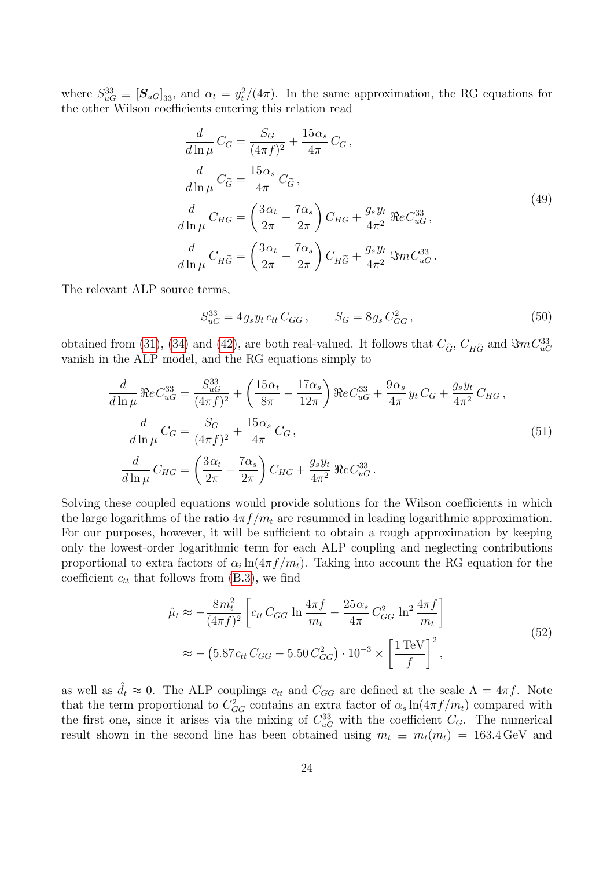where  $S_{uG}^{33} \equiv [\mathbf{S}_{uG}]_{33}$ , and  $\alpha_t = y_t^2/(4\pi)$ . In the same approximation, the RG equations for the other Wilson coefficients entering this relation read

$$
\frac{d}{d\ln\mu}C_G = \frac{S_G}{(4\pi f)^2} + \frac{15\alpha_s}{4\pi}C_G,
$$
\n
$$
\frac{d}{d\ln\mu}C_{\tilde{G}} = \frac{15\alpha_s}{4\pi}C_{\tilde{G}},
$$
\n
$$
\frac{d}{d\ln\mu}C_{HG} = \left(\frac{3\alpha_t}{2\pi} - \frac{7\alpha_s}{2\pi}\right)C_{HG} + \frac{g_s y_t}{4\pi^2} \Re e C_{uG}^{33},
$$
\n
$$
\frac{d}{d\ln\mu}C_{H\tilde{G}} = \left(\frac{3\alpha_t}{2\pi} - \frac{7\alpha_s}{2\pi}\right)C_{H\tilde{G}} + \frac{g_s y_t}{4\pi^2} \Im m C_{uG}^{33}.
$$
\n(49)

The relevant ALP source terms,

$$
S_{uG}^{33} = 4g_s y_t c_{tt} C_{GG}, \qquad S_G = 8g_s C_{GG}^2, \qquad (50)
$$

obtained from [\(31\)](#page-17-0), [\(34\)](#page-18-1) and [\(42\)](#page-22-1), are both real-valued. It follows that  $C_{\tilde{G}}$ ,  $C_{H\tilde{G}}$  and  $\Im mC_{uG}^{33}$ vanish in the ALP model, and the RG equations simply to

$$
\frac{d}{d\ln\mu} \Re e C_{uG}^{33} = \frac{S_{uG}^{33}}{(4\pi f)^2} + \left(\frac{15\alpha_t}{8\pi} - \frac{17\alpha_s}{12\pi}\right) \Re e C_{uG}^{33} + \frac{9\alpha_s}{4\pi} y_t C_G + \frac{g_s y_t}{4\pi^2} C_{HG},
$$
\n
$$
\frac{d}{d\ln\mu} C_G = \frac{S_G}{(4\pi f)^2} + \frac{15\alpha_s}{4\pi} C_G,
$$
\n
$$
\frac{d}{d\ln\mu} C_{HG} = \left(\frac{3\alpha_t}{2\pi} - \frac{7\alpha_s}{2\pi}\right) C_{HG} + \frac{g_s y_t}{4\pi^2} \Re e C_{uG}^{33}.
$$
\n(51)

Solving these coupled equations would provide solutions for the Wilson coefficients in which the large logarithms of the ratio  $4\pi f/m_t$  are resummed in leading logarithmic approximation. For our purposes, however, it will be sufficient to obtain a rough approximation by keeping only the lowest-order logarithmic term for each ALP coupling and neglecting contributions proportional to extra factors of  $\alpha_i \ln(4\pi f/m_t)$ . Taking into account the RG equation for the coefficient  $c_{tt}$  that follows from  $(B.3)$ , we find

$$
\hat{\mu}_t \approx -\frac{8m_t^2}{(4\pi f)^2} \left[ c_{tt} C_{GG} \ln \frac{4\pi f}{m_t} - \frac{25\alpha_s}{4\pi} C_{GG}^2 \ln^2 \frac{4\pi f}{m_t} \right]
$$
\n
$$
\approx -\left( 5.87 c_{tt} C_{GG} - 5.50 C_{GG}^2 \right) \cdot 10^{-3} \times \left[ \frac{1 \,\text{TeV}}{f} \right]^2,
$$
\n(52)

as well as  $d_t \approx 0$ . The ALP couplings  $c_{tt}$  and  $C_{GG}$  are defined at the scale  $\Lambda = 4\pi f$ . Note that the term proportional to  $C_{GG}^2$  contains an extra factor of  $\alpha_s \ln(4\pi f/m_t)$  compared with the first one, since it arises via the mixing of  $C_{uG}^{33}$  with the coefficient  $C_G$ . The numerical result shown in the second line has been obtained using  $m_t \equiv m_t(m_t) = 163.4 \,\text{GeV}$  and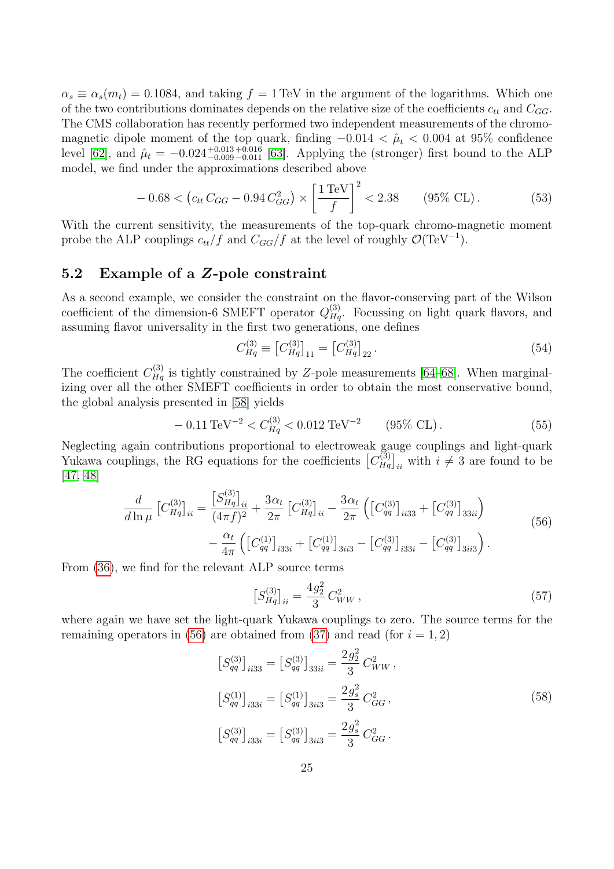$\alpha_s \equiv \alpha_s(m_t) = 0.1084$ , and taking  $f = 1 \text{ TeV}$  in the argument of the logarithms. Which one of the two contributions dominates depends on the relative size of the coefficients  $c_{tt}$  and  $C_{GG}$ . The CMS collaboration has recently performed two independent measurements of the chromomagnetic dipole moment of the top quark, finding  $-0.014 < \hat{\mu}_t < 0.004$  at 95% confidence level [\[62\]](#page-34-11), and  $\hat{\mu}_t = -0.024_{-0.009}^{+0.013}$  +0.016 [\[63\]](#page-34-12). Applying the (stronger) first bound to the ALP model, we find under the approximations described above

$$
-0.68 < \left( c_{tt} C_{GG} - 0.94 C_{GG}^2 \right) \times \left[ \frac{1 \,\text{TeV}}{f} \right]^2 < 2.38 \qquad (95\% \text{ CL}). \tag{53}
$$

With the current sensitivity, the measurements of the top-quark chromo-magnetic moment probe the ALP couplings  $c_{tt}/f$  and  $C_{GG}/f$  at the level of roughly  $\mathcal{O}(\text{TeV}^{-1})$ .

#### <span id="page-25-0"></span>5.2 Example of a Z-pole constraint

As a second example, we consider the constraint on the flavor-conserving part of the Wilson coefficient of the dimension-6 SMEFT operator  $Q_{Hq}^{(3)}$ . Focussing on light quark flavors, and assuming flavor universality in the first two generations, one defines

$$
C_{Hq}^{(3)} \equiv \left[C_{Hq}^{(3)}\right]_{11} = \left[C_{Hq}^{(3)}\right]_{22}.
$$
\n(54)

The coefficient  $C_{Hq}^{(3)}$  is tightly constrained by Z-pole measurements [\[64](#page-34-13)[–68\]](#page-34-14). When marginalizing over all the other SMEFT coefficients in order to obtain the most conservative bound, the global analysis presented in [\[58\]](#page-34-7) yields

<span id="page-25-3"></span>
$$
-0.11 \,\text{TeV}^{-2} < C_{Hq}^{(3)} < 0.012 \,\text{TeV}^{-2} \qquad (95\% \text{ CL}). \tag{55}
$$

Neglecting again contributions proportional to electroweak gauge couplings and light-quark Yukawa couplings, the RG equations for the coefficients  $\left[C_{Hq}^{(3)}\right]_{ii}$  with  $i \neq 3$  are found to be [\[47,](#page-33-9) [48\]](#page-33-8)

<span id="page-25-1"></span>
$$
\frac{d}{d\ln\mu} \left[ C_{Hq}^{(3)} \right]_{ii} = \frac{\left[ S_{Hq}^{(3)} \right]_{ii}}{\left( 4\pi f \right)^2} + \frac{3\alpha_t}{2\pi} \left[ C_{Hq}^{(3)} \right]_{ii} - \frac{3\alpha_t}{2\pi} \left( \left[ C_{qq}^{(3)} \right]_{ii33} + \left[ C_{qq}^{(3)} \right]_{33ii} \right) - \frac{\alpha_t}{4\pi} \left( \left[ C_{qq}^{(1)} \right]_{i33i} + \left[ C_{qq}^{(1)} \right]_{3ii3} - \left[ C_{qq}^{(3)} \right]_{i33i} - \left[ C_{qq}^{(3)} \right]_{3ii3} \right). \tag{56}
$$

From [\(36\)](#page-19-1), we find for the relevant ALP source terms

<span id="page-25-2"></span>
$$
\left[S_{Hq}^{(3)}\right]_{ii} = \frac{4g_2^2}{3} C_{WW}^2\,,\tag{57}
$$

where again we have set the light-quark Yukawa couplings to zero. The source terms for the remaining operators in [\(56\)](#page-25-1) are obtained from [\(37\)](#page-19-2) and read (for  $i = 1, 2$ )

$$
[S_{qq}^{(3)}]_{ii33} = [S_{qq}^{(3)}]_{33ii} = \frac{2g_2^2}{3} C_{WW}^2,
$$
  
\n
$$
[S_{qq}^{(1)}]_{i33i} = [S_{qq}^{(1)}]_{3ii3} = \frac{2g_s^2}{3} C_{GG}^2,
$$
  
\n
$$
[S_{qq}^{(3)}]_{i33i} = [S_{qq}^{(3)}]_{3ii3} = \frac{2g_s^2}{3} C_{GG}^2.
$$
\n(58)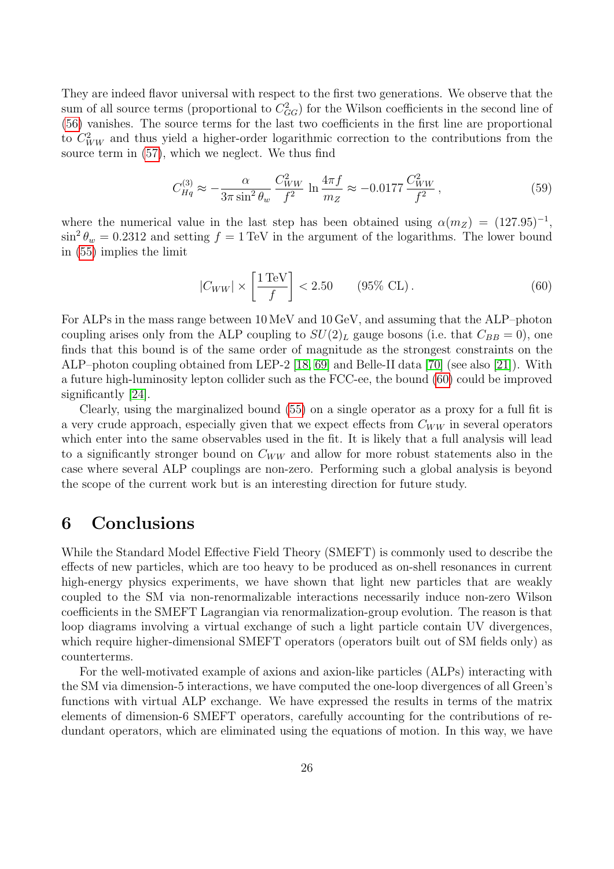They are indeed flavor universal with respect to the first two generations. We observe that the sum of all source terms (proportional to  $C_{GG}^2$ ) for the Wilson coefficients in the second line of [\(56\)](#page-25-1) vanishes. The source terms for the last two coefficients in the first line are proportional to  $C_{WW}^2$  and thus yield a higher-order logarithmic correction to the contributions from the source term in [\(57\)](#page-25-2), which we neglect. We thus find

$$
C_{Hq}^{(3)} \approx -\frac{\alpha}{3\pi \sin^2 \theta_w} \frac{C_{WW}^2}{f^2} \ln \frac{4\pi f}{m_Z} \approx -0.0177 \frac{C_{WW}^2}{f^2},\tag{59}
$$

where the numerical value in the last step has been obtained using  $\alpha(m_Z) = (127.95)^{-1}$ ,  $\sin^2 \theta_w = 0.2312$  and setting  $f = 1 \text{ TeV}$  in the argument of the logarithms. The lower bound in [\(55\)](#page-25-3) implies the limit

<span id="page-26-1"></span>
$$
|C_{WW}| \times \left[\frac{1 \text{ TeV}}{f}\right] < 2.50 \qquad (95\% \text{ CL}). \tag{60}
$$

For ALPs in the mass range between 10 MeV and 10 GeV, and assuming that the ALP–photon coupling arises only from the ALP coupling to  $SU(2)_L$  gauge bosons (i.e. that  $C_{BB} = 0$ ), one finds that this bound is of the same order of magnitude as the strongest constraints on the ALP–photon coupling obtained from LEP-2 [\[18,](#page-32-7) [69\]](#page-34-15) and Belle-II data [\[70\]](#page-34-16) (see also [\[21\]](#page-32-4)). With a future high-luminosity lepton collider such as the FCC-ee, the bound [\(60\)](#page-26-1) could be improved significantly [\[24\]](#page-32-8).

Clearly, using the marginalized bound [\(55\)](#page-25-3) on a single operator as a proxy for a full fit is a very crude approach, especially given that we expect effects from  $C_{WW}$  in several operators which enter into the same observables used in the fit. It is likely that a full analysis will lead to a significantly stronger bound on  $C_{WW}$  and allow for more robust statements also in the case where several ALP couplings are non-zero. Performing such a global analysis is beyond the scope of the current work but is an interesting direction for future study.

## <span id="page-26-0"></span>6 Conclusions

While the Standard Model Effective Field Theory (SMEFT) is commonly used to describe the effects of new particles, which are too heavy to be produced as on-shell resonances in current high-energy physics experiments, we have shown that light new particles that are weakly coupled to the SM via non-renormalizable interactions necessarily induce non-zero Wilson coefficients in the SMEFT Lagrangian via renormalization-group evolution. The reason is that loop diagrams involving a virtual exchange of such a light particle contain UV divergences, which require higher-dimensional SMEFT operators (operators built out of SM fields only) as counterterms.

For the well-motivated example of axions and axion-like particles (ALPs) interacting with the SM via dimension-5 interactions, we have computed the one-loop divergences of all Green's functions with virtual ALP exchange. We have expressed the results in terms of the matrix elements of dimension-6 SMEFT operators, carefully accounting for the contributions of redundant operators, which are eliminated using the equations of motion. In this way, we have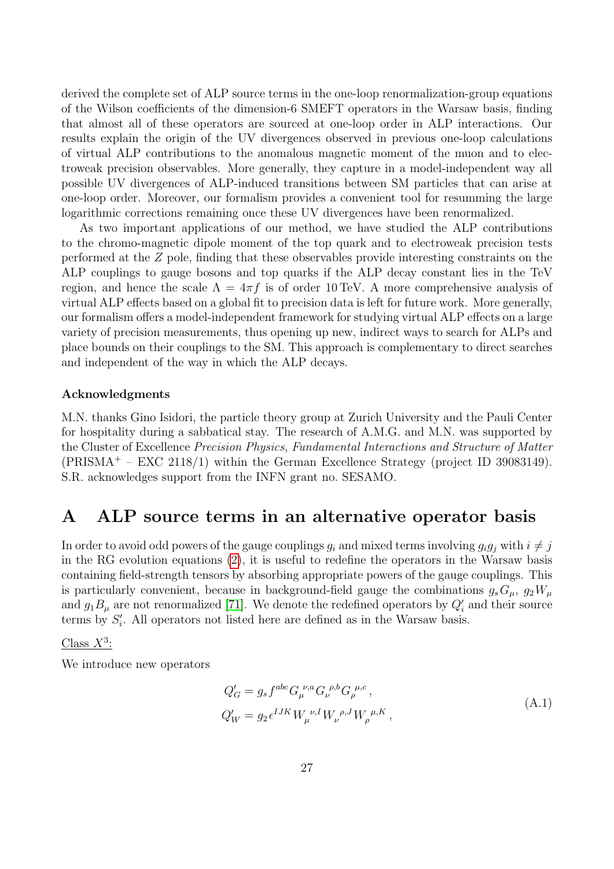derived the complete set of ALP source terms in the one-loop renormalization-group equations of the Wilson coefficients of the dimension-6 SMEFT operators in the Warsaw basis, finding that almost all of these operators are sourced at one-loop order in ALP interactions. Our results explain the origin of the UV divergences observed in previous one-loop calculations of virtual ALP contributions to the anomalous magnetic moment of the muon and to electroweak precision observables. More generally, they capture in a model-independent way all possible UV divergences of ALP-induced transitions between SM particles that can arise at one-loop order. Moreover, our formalism provides a convenient tool for resumming the large logarithmic corrections remaining once these UV divergences have been renormalized.

As two important applications of our method, we have studied the ALP contributions to the chromo-magnetic dipole moment of the top quark and to electroweak precision tests performed at the Z pole, finding that these observables provide interesting constraints on the ALP couplings to gauge bosons and top quarks if the ALP decay constant lies in the TeV region, and hence the scale  $\Lambda = 4\pi f$  is of order 10 TeV. A more comprehensive analysis of virtual ALP effects based on a global fit to precision data is left for future work. More generally, our formalism offers a model-independent framework for studying virtual ALP effects on a large variety of precision measurements, thus opening up new, indirect ways to search for ALPs and place bounds on their couplings to the SM. This approach is complementary to direct searches and independent of the way in which the ALP decays.

#### Acknowledgments

M.N. thanks Gino Isidori, the particle theory group at Zurich University and the Pauli Center for hospitality during a sabbatical stay. The research of A.M.G. and M.N. was supported by the Cluster of Excellence Precision Physics, Fundamental Interactions and Structure of Matter  $(PRISMA<sup>+</sup> – EXC 2118/1)$  within the German Excellence Strategy (project ID 39083149). S.R. acknowledges support from the INFN grant no. SESAMO.

# <span id="page-27-0"></span>A ALP source terms in an alternative operator basis

In order to avoid odd powers of the gauge couplings  $g_i$  and mixed terms involving  $g_i g_j$  with  $i \neq j$ in the RG evolution equations [\(2\)](#page-3-1), it is useful to redefine the operators in the Warsaw basis containing field-strength tensors by absorbing appropriate powers of the gauge couplings. This is particularly convenient, because in background-field gauge the combinations  $g_sG_\mu$ ,  $g_2W_\mu$ and  $g_1B_\mu$  are not renormalized [\[71\]](#page-34-17). We denote the redefined operators by  $Q_i'$  and their source terms by  $S_i'$ . All operators not listed here are defined as in the Warsaw basis.

Class  $X^3$ :

We introduce new operators

$$
Q'_{G} = g_{s} f^{abc} G_{\mu}^{\ \nu, a} G_{\nu}^{\ \rho, b} G_{\rho}^{\ \mu, c},
$$
  
\n
$$
Q'_{W} = g_{2} \epsilon^{IJK} W_{\mu}^{\ \nu, I} W_{\nu}^{\ \rho, J} W_{\rho}^{\ \mu, K},
$$
\n(A.1)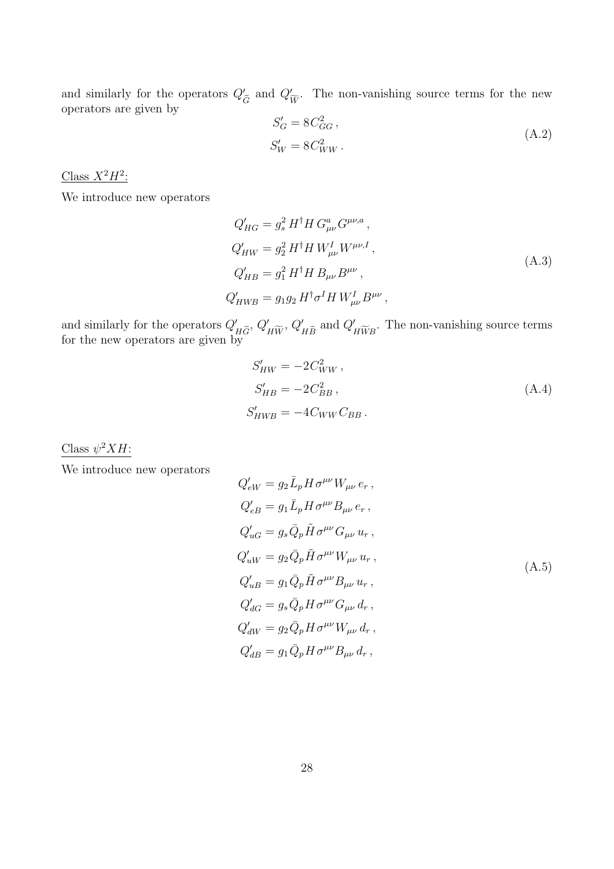and similarly for the operators  $Q'_{\tilde{G}}$  and  $Q'_{\tilde{W}}$ . The non-vanishing source terms for the new operators are given by

$$
S_G' = 8C_{GG}^2,
$$
  
\n
$$
S_W' = 8C_{WW}^2.
$$
\n(A.2)

Class  $X^2H^2$ :

We introduce new operators

$$
Q'_{HG} = g_s^2 H^{\dagger} H G^a_{\mu\nu} G^{\mu\nu,a},
$$
  
\n
$$
Q'_{HW} = g_2^2 H^{\dagger} H W^I_{\mu\nu} W^{\mu\nu,I},
$$
  
\n
$$
Q'_{HB} = g_1^2 H^{\dagger} H B_{\mu\nu} B^{\mu\nu},
$$
  
\n
$$
Q'_{HWB} = g_1 g_2 H^{\dagger} \sigma^I H W^I_{\mu\nu} B^{\mu\nu},
$$
\n(A.3)

and similarly for the operators  $Q'_{H\widetilde{G}}$ ,  $Q'_{H\widetilde{W}}$ ,  $Q'_{H\widetilde{B}}$  and  $Q'_{H\widetilde{W}B}$ . The non-vanishing source terms for the new operators are given by

$$
S'_{HW} = -2C_{WW}^2,
$$
  
\n
$$
S'_{HB} = -2C_{BB}^2,
$$
  
\n
$$
S'_{HWB} = -4C_{WW}C_{BB}.
$$
\n(A.4)

Class  $\psi^2 X H$ :

We introduce new operators

$$
Q'_{eW} = g_2 \bar{L}_p H \sigma^{\mu\nu} W_{\mu\nu} e_r ,
$$
  
\n
$$
Q'_{eB} = g_1 \bar{L}_p H \sigma^{\mu\nu} B_{\mu\nu} e_r ,
$$
  
\n
$$
Q'_{uG} = g_s \bar{Q}_p \tilde{H} \sigma^{\mu\nu} G_{\mu\nu} u_r ,
$$
  
\n
$$
Q'_{uW} = g_2 \bar{Q}_p \tilde{H} \sigma^{\mu\nu} W_{\mu\nu} u_r ,
$$
  
\n
$$
Q'_{uB} = g_1 \bar{Q}_p \tilde{H} \sigma^{\mu\nu} B_{\mu\nu} u_r ,
$$
  
\n
$$
Q'_{dG} = g_s \bar{Q}_p H \sigma^{\mu\nu} G_{\mu\nu} d_r ,
$$
  
\n
$$
Q'_{dW} = g_2 \bar{Q}_p H \sigma^{\mu\nu} W_{\mu\nu} d_r ,
$$
  
\n
$$
Q'_{dB} = g_1 \bar{Q}_p H \sigma^{\mu\nu} B_{\mu\nu} d_r ,
$$
  
\n(A.5)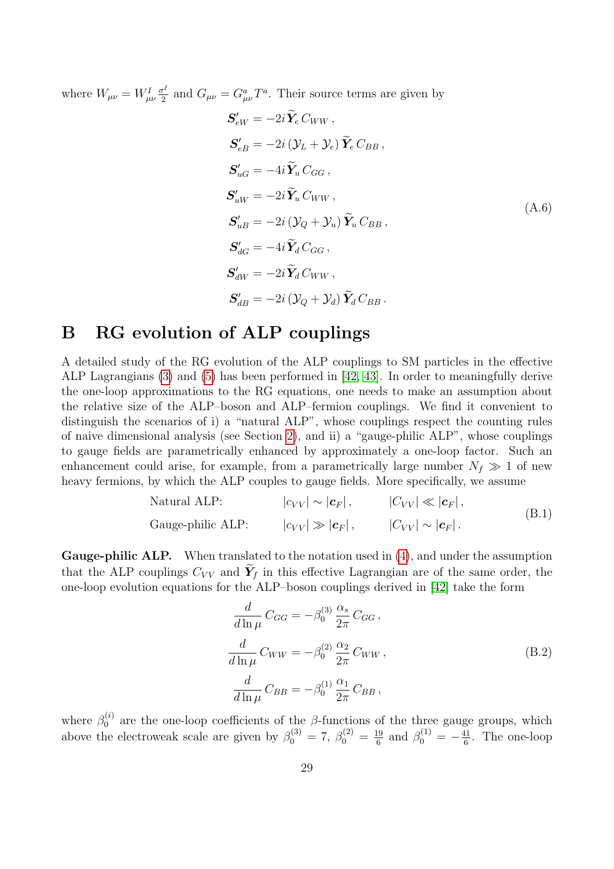where  $W_{\mu\nu} = W^I_{\mu\nu} \frac{\sigma^I}{2}$  $\frac{\sigma^I}{2}$  and  $G_{\mu\nu} = G^a_{\mu\nu} T^a$ . Their source terms are given by

$$
S'_{eW} = -2i\tilde{Y}_e C_{WW},
$$
  
\n
$$
S'_{eB} = -2i(\mathcal{Y}_L + \mathcal{Y}_e)\tilde{Y}_e C_{BB},
$$
  
\n
$$
S'_{uG} = -4i\tilde{Y}_u C_{GG},
$$
  
\n
$$
S'_{uW} = -2i\tilde{Y}_u C_{WW},
$$
  
\n
$$
S'_{uB} = -2i(\mathcal{Y}_Q + \mathcal{Y}_u)\tilde{Y}_u C_{BB},
$$
  
\n
$$
S'_{dG} = -4i\tilde{Y}_d C_{GG},
$$
  
\n
$$
S'_{dW} = -2i\tilde{Y}_d C_{WW},
$$
  
\n
$$
S'_{dB} = -2i(\mathcal{Y}_Q + \mathcal{Y}_d)\tilde{Y}_d C_{BB}.
$$
  
\n(4.6)

# <span id="page-29-0"></span>B RG evolution of ALP couplings

A detailed study of the RG evolution of the ALP couplings to SM particles in the effective ALP Lagrangians [\(3\)](#page-4-1) and [\(5\)](#page-5-2) has been performed in [\[42,](#page-33-4) [43\]](#page-33-5). In order to meaningfully derive the one-loop approximations to the RG equations, one needs to make an assumption about the relative size of the ALP–boson and ALP–fermion couplings. We find it convenient to distinguish the scenarios of i) a "natural ALP", whose couplings respect the counting rules of naive dimensional analysis (see Section [2\)](#page-4-0), and ii) a "gauge-philic ALP", whose couplings to gauge fields are parametrically enhanced by approximately a one-loop factor. Such an enhancement could arise, for example, from a parametrically large number  $N_f \gg 1$  of new heavy fermions, by which the ALP couples to gauge fields. More specifically, we assume

Natural ALP: 
$$
|c_{VV}| \sim |\mathbf{c}_F|
$$
,  $|C_{VV}| \ll |\mathbf{c}_F|$ ,  
\nGauge-philic ALP:  $|c_{VV}| \gg |\mathbf{c}_F|$ ,  $|C_{VV}| \sim |\mathbf{c}_F|$ . (B.1)

Gauge-philic ALP. When translated to the notation used in [\(4\)](#page-5-1), and under the assumption that the ALP couplings  $C_{VV}$  and  $\tilde{Y}_f$  in this effective Lagrangian are of the same order, the one-loop evolution equations for the ALP–boson couplings derived in [\[42\]](#page-33-4) take the form

$$
\frac{d}{d\ln\mu}C_{GG} = -\beta_0^{(3)}\frac{\alpha_s}{2\pi}C_{GG},
$$
\n
$$
\frac{d}{d\ln\mu}C_{WW} = -\beta_0^{(2)}\frac{\alpha_2}{2\pi}C_{WW},
$$
\n
$$
\frac{d}{d\ln\mu}C_{BB} = -\beta_0^{(1)}\frac{\alpha_1}{2\pi}C_{BB},
$$
\n(B.2)

where  $\beta_0^{(i)}$  $\beta_0^{(i)}$  are the one-loop coefficients of the  $\beta$ -functions of the three gauge groups, which above the electroweak scale are given by  $\beta_0^{(3)} = 7, \beta_0^{(2)} = \frac{19}{6}$  $\frac{19}{6}$  and  $\beta_0^{(1)} = -\frac{41}{6}$  $\frac{41}{6}$ . The one-loop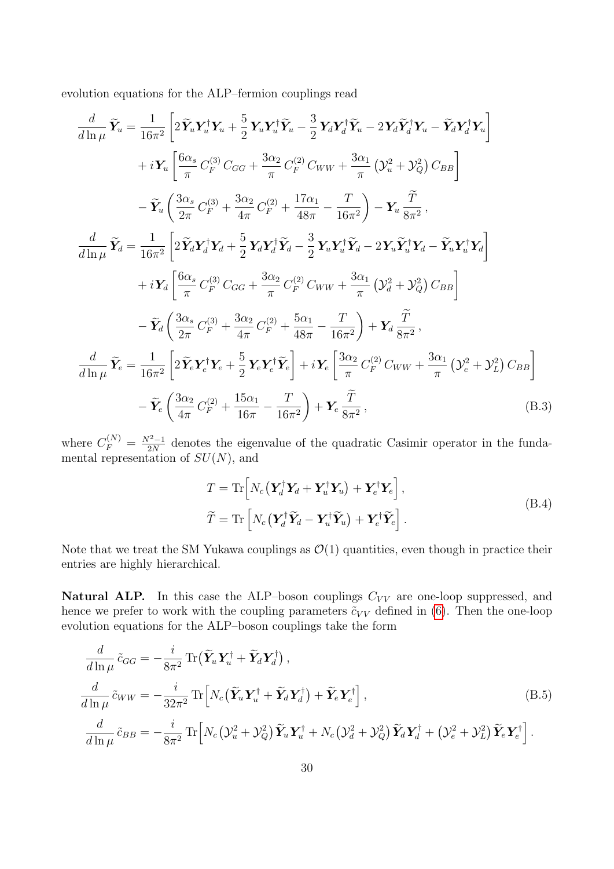evolution equations for the ALP–fermion couplings read

$$
\frac{d}{d\ln\mu}\widetilde{Y}_{u} = \frac{1}{16\pi^{2}}\left[2\widetilde{Y}_{u}Y_{u}^{\dagger}Y_{u} + \frac{5}{2}Y_{u}Y_{u}^{\dagger}\widetilde{Y}_{u} - \frac{3}{2}Y_{d}Y_{d}^{\dagger}\widetilde{Y}_{u} - 2Y_{d}\widetilde{Y}_{d}^{\dagger}Y_{u} - \widetilde{Y}_{d}Y_{d}^{\dagger}Y_{u}\right] \n+ iY_{u}\left[\frac{6\alpha_{s}}{\pi}C_{F}^{(3)}C_{GG} + \frac{3\alpha_{2}}{\pi}C_{F}^{(2)}C_{WW} + \frac{3\alpha_{1}}{\pi}\left(\mathcal{Y}_{u}^{2} + \mathcal{Y}_{Q}^{2}\right)C_{BB}\right] \n- \widetilde{Y}_{u}\left(\frac{3\alpha_{s}}{2\pi}C_{F}^{(3)} + \frac{3\alpha_{2}}{4\pi}C_{F}^{(2)} + \frac{17\alpha_{1}}{48\pi} - \frac{T}{16\pi^{2}}\right) - Y_{u}\frac{\widetilde{T}}{8\pi^{2}},
$$
\n
$$
\frac{d}{d\ln\mu}\widetilde{Y}_{d} = \frac{1}{16\pi^{2}}\left[2\widetilde{Y}_{d}Y_{d}^{\dagger}Y_{d} + \frac{5}{2}Y_{d}Y_{d}^{\dagger}\widetilde{Y}_{d} - \frac{3}{2}Y_{u}Y_{u}^{\dagger}\widetilde{Y}_{d} - 2Y_{u}\widetilde{Y}_{u}^{\dagger}Y_{d} - \widetilde{Y}_{u}Y_{u}^{\dagger}Y_{d}\right] \n+ iY_{d}\left[\frac{6\alpha_{s}}{\pi}C_{F}^{(3)}C_{GG} + \frac{3\alpha_{2}}{\pi}C_{F}^{(2)}C_{WW} + \frac{3\alpha_{1}}{\pi}\left(\mathcal{Y}_{d}^{2} + \mathcal{Y}_{Q}^{2}\right)C_{BB}\right] \n- \widetilde{Y}_{d}\left(\frac{3\alpha_{s}}{2\pi}C_{F}^{(3)} + \frac{3\alpha_{2}}{4\pi}C_{F}^{(2)} + \frac{5\alpha_{1}}{48\pi} - \frac{T}{16\pi^{2}}\right) + Y_{d}\frac{\widet
$$

where  $C_F^{(N)} = \frac{N^2 - 1}{2N}$  $\frac{2^{2}-1}{2N}$  denotes the eigenvalue of the quadratic Casimir operator in the fundamental representation of  $SU(N)$ , and

<span id="page-30-0"></span>
$$
T = \text{Tr}\left[N_c\left(\mathbf{Y}_d^{\dagger}\mathbf{Y}_d + \mathbf{Y}_u^{\dagger}\mathbf{Y}_u\right) + \mathbf{Y}_e^{\dagger}\mathbf{Y}_e\right],
$$
  
\n
$$
\widetilde{T} = \text{Tr}\left[N_c\left(\mathbf{Y}_d^{\dagger}\widetilde{\mathbf{Y}}_d - \mathbf{Y}_u^{\dagger}\widetilde{\mathbf{Y}}_u\right) + \mathbf{Y}_e^{\dagger}\widetilde{\mathbf{Y}}_e\right].
$$
\n(B.4)

Note that we treat the SM Yukawa couplings as  $\mathcal{O}(1)$  quantities, even though in practice their entries are highly hierarchical.

**Natural ALP.** In this case the ALP–boson couplings  $C_{VV}$  are one-loop suppressed, and hence we prefer to work with the coupling parameters  $\tilde{c}_{VV}$  defined in [\(6\)](#page-5-3). Then the one-loop evolution equations for the ALP–boson couplings take the form

$$
\frac{d}{d\ln\mu}\tilde{c}_{GG} = -\frac{i}{8\pi^2} \text{Tr}\left(\tilde{\mathbf{Y}}_u \mathbf{Y}_u^{\dagger} + \tilde{\mathbf{Y}}_d \mathbf{Y}_d^{\dagger}\right),
$$
\n
$$
\frac{d}{d\ln\mu}\tilde{c}_{WW} = -\frac{i}{32\pi^2} \text{Tr}\left[N_c\left(\tilde{\mathbf{Y}}_u \mathbf{Y}_u^{\dagger} + \tilde{\mathbf{Y}}_d \mathbf{Y}_d^{\dagger}\right) + \tilde{\mathbf{Y}}_e \mathbf{Y}_e^{\dagger}\right],
$$
\n
$$
\frac{d}{d\ln\mu}\tilde{c}_{BB} = -\frac{i}{8\pi^2} \text{Tr}\left[N_c\left(\mathbf{Y}_u^2 + \mathbf{Y}_Q^2\right) \tilde{\mathbf{Y}}_u \mathbf{Y}_u^{\dagger} + N_c\left(\mathbf{Y}_d^2 + \mathbf{Y}_Q^2\right) \tilde{\mathbf{Y}}_d \mathbf{Y}_d^{\dagger} + \left(\mathbf{Y}_e^2 + \mathbf{Y}_L^2\right) \tilde{\mathbf{Y}}_e \mathbf{Y}_e^{\dagger}\right].
$$
\n(B.5)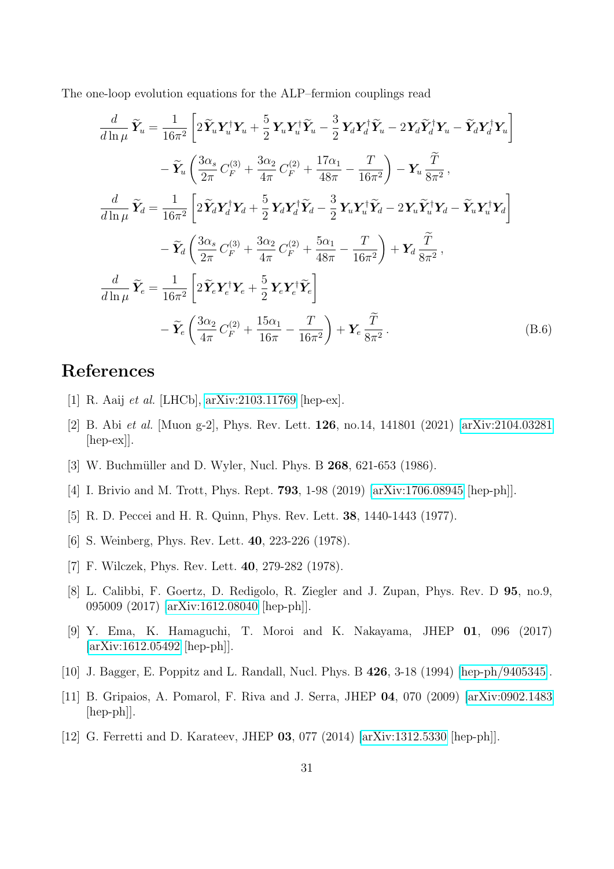The one-loop evolution equations for the ALP–fermion couplings read

$$
\frac{d}{d\ln\mu}\widetilde{Y}_u = \frac{1}{16\pi^2} \left[ 2\widetilde{Y}_u Y_u^\dagger Y_u + \frac{5}{2} Y_u Y_u^\dagger \widetilde{Y}_u - \frac{3}{2} Y_d Y_d^\dagger \widetilde{Y}_u - 2Y_d \widetilde{Y}_d^\dagger Y_u - \widetilde{Y}_d Y_d^\dagger Y_u \right] \n- \widetilde{Y}_u \left( \frac{3\alpha_s}{2\pi} C_F^{(3)} + \frac{3\alpha_2}{4\pi} C_F^{(2)} + \frac{17\alpha_1}{48\pi} - \frac{T}{16\pi^2} \right) - Y_u \frac{\widetilde{T}}{8\pi^2},
$$
\n
$$
\frac{d}{d\ln\mu}\widetilde{Y}_d = \frac{1}{16\pi^2} \left[ 2\widetilde{Y}_d Y_d^\dagger Y_d + \frac{5}{2} Y_d Y_d^\dagger \widetilde{Y}_d - \frac{3}{2} Y_u Y_u^\dagger \widetilde{Y}_d - 2Y_u \widetilde{Y}_u^\dagger Y_d - \widetilde{Y}_u Y_u^\dagger Y_d \right] \n- \widetilde{Y}_d \left( \frac{3\alpha_s}{2\pi} C_F^{(3)} + \frac{3\alpha_2}{4\pi} C_F^{(2)} + \frac{5\alpha_1}{48\pi} - \frac{T}{16\pi^2} \right) + Y_d \frac{\widetilde{T}}{8\pi^2},
$$
\n
$$
\frac{d}{d\ln\mu}\widetilde{Y}_e = \frac{1}{16\pi^2} \left[ 2\widetilde{Y}_e Y_e^\dagger Y_e + \frac{5}{2} Y_e Y_e^\dagger \widetilde{Y}_e \right] \n- \widetilde{Y}_e \left( \frac{3\alpha_2}{4\pi} C_F^{(2)} + \frac{15\alpha_1}{16\pi} - \frac{T}{16\pi^2} \right) + Y_e \frac{\widetilde{T}}{8\pi^2}.
$$
\n(B.6)

# References

- <span id="page-31-0"></span>[1] R. Aaij et al. [LHCb], [arXiv:2103.11769](http://arxiv.org/abs/2103.11769) [hep-ex].
- <span id="page-31-1"></span>[2] B. Abi et al. [Muon g-2], Phys. Rev. Lett. 126, no.14, 141801 (2021) [\[arXiv:2104.03281](http://arxiv.org/abs/2104.03281) [hep-ex]].
- <span id="page-31-2"></span>[3] W. Buchmüller and D. Wyler, Nucl. Phys. B 268, 621-653 (1986).
- <span id="page-31-3"></span>[4] I. Brivio and M. Trott, Phys. Rept. 793, 1-98 (2019) [\[arXiv:1706.08945](http://arxiv.org/abs/1706.08945) [hep-ph]].
- <span id="page-31-4"></span>[5] R. D. Peccei and H. R. Quinn, Phys. Rev. Lett. 38, 1440-1443 (1977).
- <span id="page-31-9"></span>[6] S. Weinberg, Phys. Rev. Lett. 40, 223-226 (1978).
- <span id="page-31-5"></span>[7] F. Wilczek, Phys. Rev. Lett. 40, 279-282 (1978).
- <span id="page-31-6"></span>[8] L. Calibbi, F. Goertz, D. Redigolo, R. Ziegler and J. Zupan, Phys. Rev. D 95, no.9, 095009 (2017) [\[arXiv:1612.08040](http://arxiv.org/abs/1612.08040) [hep-ph]].
- <span id="page-31-7"></span>[9] Y. Ema, K. Hamaguchi, T. Moroi and K. Nakayama, JHEP 01, 096 (2017) [\[arXiv:1612.05492](http://arxiv.org/abs/1612.05492) [hep-ph]].
- <span id="page-31-8"></span>[10] J. Bagger, E. Poppitz and L. Randall, Nucl. Phys. B 426, 3-18 (1994) [\[hep-ph/9405345\]](http://arxiv.org/abs/hep-ph/9405345).
- [11] B. Gripaios, A. Pomarol, F. Riva and J. Serra, JHEP 04, 070 (2009) [\[arXiv:0902.1483](http://arxiv.org/abs/0902.1483) [hep-ph]].
- [12] G. Ferretti and D. Karateev, JHEP 03, 077 (2014) [\[arXiv:1312.5330](http://arxiv.org/abs/1312.5330) [hep-ph]].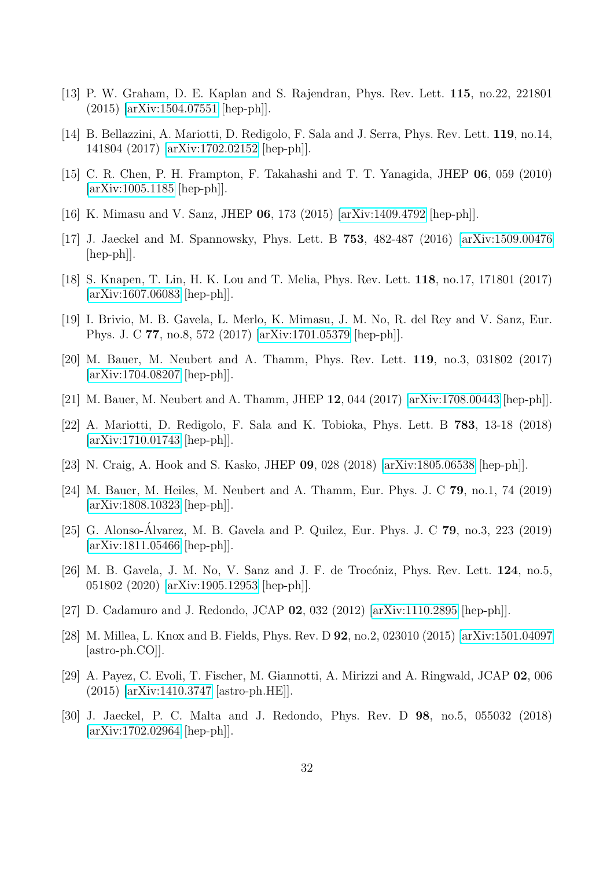- [13] P. W. Graham, D. E. Kaplan and S. Rajendran, Phys. Rev. Lett. 115, no.22, 221801 (2015) [\[arXiv:1504.07551](http://arxiv.org/abs/1504.07551) [hep-ph]].
- <span id="page-32-0"></span>[14] B. Bellazzini, A. Mariotti, D. Redigolo, F. Sala and J. Serra, Phys. Rev. Lett. 119, no.14, 141804 (2017) [\[arXiv:1702.02152](http://arxiv.org/abs/1702.02152) [hep-ph]].
- <span id="page-32-1"></span>[15] C. R. Chen, P. H. Frampton, F. Takahashi and T. T. Yanagida, JHEP 06, 059 (2010) [\[arXiv:1005.1185](http://arxiv.org/abs/1005.1185) [hep-ph]].
- [16] K. Mimasu and V. Sanz, JHEP 06, 173 (2015) [\[arXiv:1409.4792](http://arxiv.org/abs/1409.4792) [hep-ph]].
- [17] J. Jaeckel and M. Spannowsky, Phys. Lett. B 753, 482-487 (2016) [\[arXiv:1509.00476](http://arxiv.org/abs/1509.00476) [hep-ph]].
- <span id="page-32-7"></span>[18] S. Knapen, T. Lin, H. K. Lou and T. Melia, Phys. Rev. Lett. 118, no.17, 171801 (2017) [\[arXiv:1607.06083](http://arxiv.org/abs/1607.06083) [hep-ph]].
- [19] I. Brivio, M. B. Gavela, L. Merlo, K. Mimasu, J. M. No, R. del Rey and V. Sanz, Eur. Phys. J. C 77, no.8, 572 (2017) [\[arXiv:1701.05379](http://arxiv.org/abs/1701.05379) [hep-ph]].
- <span id="page-32-3"></span>[20] M. Bauer, M. Neubert and A. Thamm, Phys. Rev. Lett. 119, no.3, 031802 (2017) [\[arXiv:1704.08207](http://arxiv.org/abs/1704.08207) [hep-ph]].
- <span id="page-32-4"></span>[21] M. Bauer, M. Neubert and A. Thamm, JHEP 12, 044 (2017) [\[arXiv:1708.00443](http://arxiv.org/abs/1708.00443) [hep-ph]].
- [22] A. Mariotti, D. Redigolo, F. Sala and K. Tobioka, Phys. Lett. B 783, 13-18 (2018) [\[arXiv:1710.01743](http://arxiv.org/abs/1710.01743) [hep-ph]].
- [23] N. Craig, A. Hook and S. Kasko, JHEP 09, 028 (2018) [\[arXiv:1805.06538](http://arxiv.org/abs/1805.06538) [hep-ph]].
- <span id="page-32-8"></span>[24] M. Bauer, M. Heiles, M. Neubert and A. Thamm, Eur. Phys. J. C 79, no.1, 74 (2019) [\[arXiv:1808.10323](http://arxiv.org/abs/1808.10323) [hep-ph]].
- [25] G. Alonso-Álvarez, M. B. Gavela and P. Quilez, Eur. Phys. J. C **79**, no.3, 223 (2019) [\[arXiv:1811.05466](http://arxiv.org/abs/1811.05466) [hep-ph]].
- <span id="page-32-2"></span>[26] M. B. Gavela, J. M. No, V. Sanz and J. F. de Trocóniz, Phys. Rev. Lett.  $124$ , no.5, 051802 (2020) [\[arXiv:1905.12953](http://arxiv.org/abs/1905.12953) [hep-ph]].
- <span id="page-32-5"></span>[27] D. Cadamuro and J. Redondo, JCAP 02, 032 (2012) [\[arXiv:1110.2895](http://arxiv.org/abs/1110.2895) [hep-ph]].
- [28] M. Millea, L. Knox and B. Fields, Phys. Rev. D 92, no.2, 023010 (2015) [\[arXiv:1501.04097](http://arxiv.org/abs/1501.04097) [astro-ph.CO]].
- [29] A. Payez, C. Evoli, T. Fischer, M. Giannotti, A. Mirizzi and A. Ringwald, JCAP 02, 006 (2015) [\[arXiv:1410.3747](http://arxiv.org/abs/1410.3747) [astro-ph.HE]].
- <span id="page-32-6"></span>[30] J. Jaeckel, P. C. Malta and J. Redondo, Phys. Rev. D 98, no.5, 055032 (2018) [\[arXiv:1702.02964](http://arxiv.org/abs/1702.02964) [hep-ph]].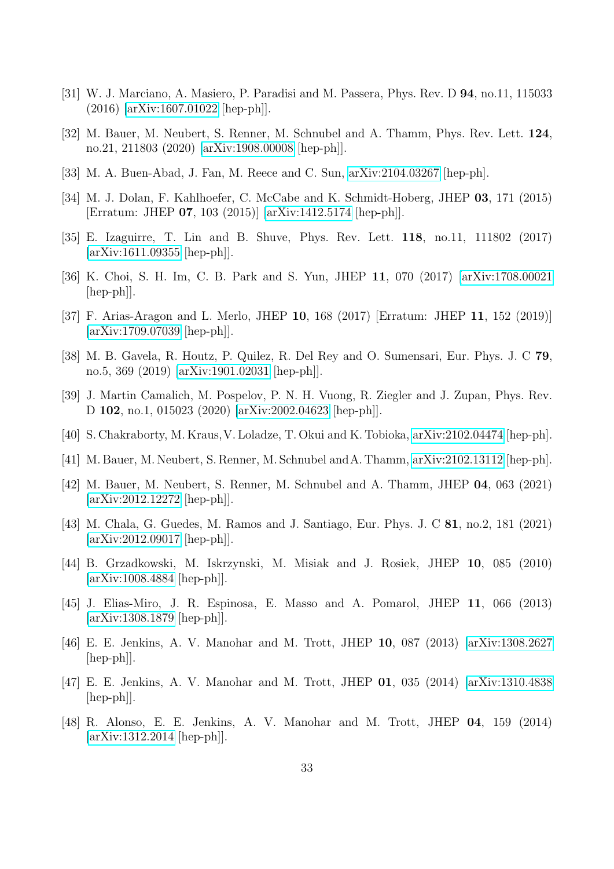- <span id="page-33-0"></span>[31] W. J. Marciano, A. Masiero, P. Paradisi and M. Passera, Phys. Rev. D 94, no.11, 115033 (2016) [\[arXiv:1607.01022](http://arxiv.org/abs/1607.01022) [hep-ph]].
- [32] M. Bauer, M. Neubert, S. Renner, M. Schnubel and A. Thamm, Phys. Rev. Lett. 124, no.21, 211803 (2020) [\[arXiv:1908.00008](http://arxiv.org/abs/1908.00008) [hep-ph]].
- <span id="page-33-1"></span>[33] M. A. Buen-Abad, J. Fan, M. Reece and C. Sun, [arXiv:2104.03267](http://arxiv.org/abs/2104.03267) [hep-ph].
- <span id="page-33-2"></span>[34] M. J. Dolan, F. Kahlhoefer, C. McCabe and K. Schmidt-Hoberg, JHEP 03, 171 (2015) [Erratum: JHEP 07, 103 (2015)] [\[arXiv:1412.5174](http://arxiv.org/abs/1412.5174) [hep-ph]].
- [35] E. Izaguirre, T. Lin and B. Shuve, Phys. Rev. Lett. 118, no.11, 111802 (2017) [\[arXiv:1611.09355](http://arxiv.org/abs/1611.09355) [hep-ph]].
- [36] K. Choi, S. H. Im, C. B. Park and S. Yun, JHEP 11, 070 (2017) [\[arXiv:1708.00021](http://arxiv.org/abs/1708.00021)  $\vert \text{hep-ph} \vert$ .
- [37] F. Arias-Aragon and L. Merlo, JHEP 10, 168 (2017) [Erratum: JHEP 11, 152 (2019)] [\[arXiv:1709.07039](http://arxiv.org/abs/1709.07039) [hep-ph]].
- [38] M. B. Gavela, R. Houtz, P. Quilez, R. Del Rey and O. Sumensari, Eur. Phys. J. C 79, no.5, 369 (2019) [\[arXiv:1901.02031](http://arxiv.org/abs/1901.02031) [hep-ph]].
- [39] J. Martin Camalich, M. Pospelov, P. N. H. Vuong, R. Ziegler and J. Zupan, Phys. Rev. D 102, no.1, 015023 (2020) [\[arXiv:2002.04623](http://arxiv.org/abs/2002.04623) [hep-ph]].
- [40] S. Chakraborty, M. Kraus,V. Loladze, T. Okui and K. Tobioka, [arXiv:2102.04474](http://arxiv.org/abs/2102.04474) [hep-ph].
- <span id="page-33-3"></span>[41] M. Bauer, M. Neubert, S. Renner, M. Schnubel andA. Thamm, [arXiv:2102.13112](http://arxiv.org/abs/2102.13112) [hep-ph].
- <span id="page-33-4"></span>[42] M. Bauer, M. Neubert, S. Renner, M. Schnubel and A. Thamm, JHEP 04, 063 (2021) [\[arXiv:2012.12272](http://arxiv.org/abs/2012.12272) [hep-ph]].
- <span id="page-33-5"></span>[43] M. Chala, G. Guedes, M. Ramos and J. Santiago, Eur. Phys. J. C 81, no.2, 181 (2021) [\[arXiv:2012.09017](http://arxiv.org/abs/2012.09017) [hep-ph]].
- <span id="page-33-6"></span>[44] B. Grzadkowski, M. Iskrzynski, M. Misiak and J. Rosiek, JHEP 10, 085 (2010)  $\arXiv:1008.4884$  [hep-ph].
- <span id="page-33-7"></span>[45] J. Elias-Miro, J. R. Espinosa, E. Masso and A. Pomarol, JHEP 11, 066 (2013) [\[arXiv:1308.1879](http://arxiv.org/abs/1308.1879) [hep-ph]].
- [46] E. E. Jenkins, A. V. Manohar and M. Trott, JHEP 10, 087 (2013) [\[arXiv:1308.2627](http://arxiv.org/abs/1308.2627) [hep-ph]].
- <span id="page-33-9"></span>[47] E. E. Jenkins, A. V. Manohar and M. Trott, JHEP 01, 035 (2014) [\[arXiv:1310.4838](http://arxiv.org/abs/1310.4838) [hep-ph]].
- <span id="page-33-8"></span>[48] R. Alonso, E. E. Jenkins, A. V. Manohar and M. Trott, JHEP 04, 159 (2014) [\[arXiv:1312.2014](http://arxiv.org/abs/1312.2014) [hep-ph]].